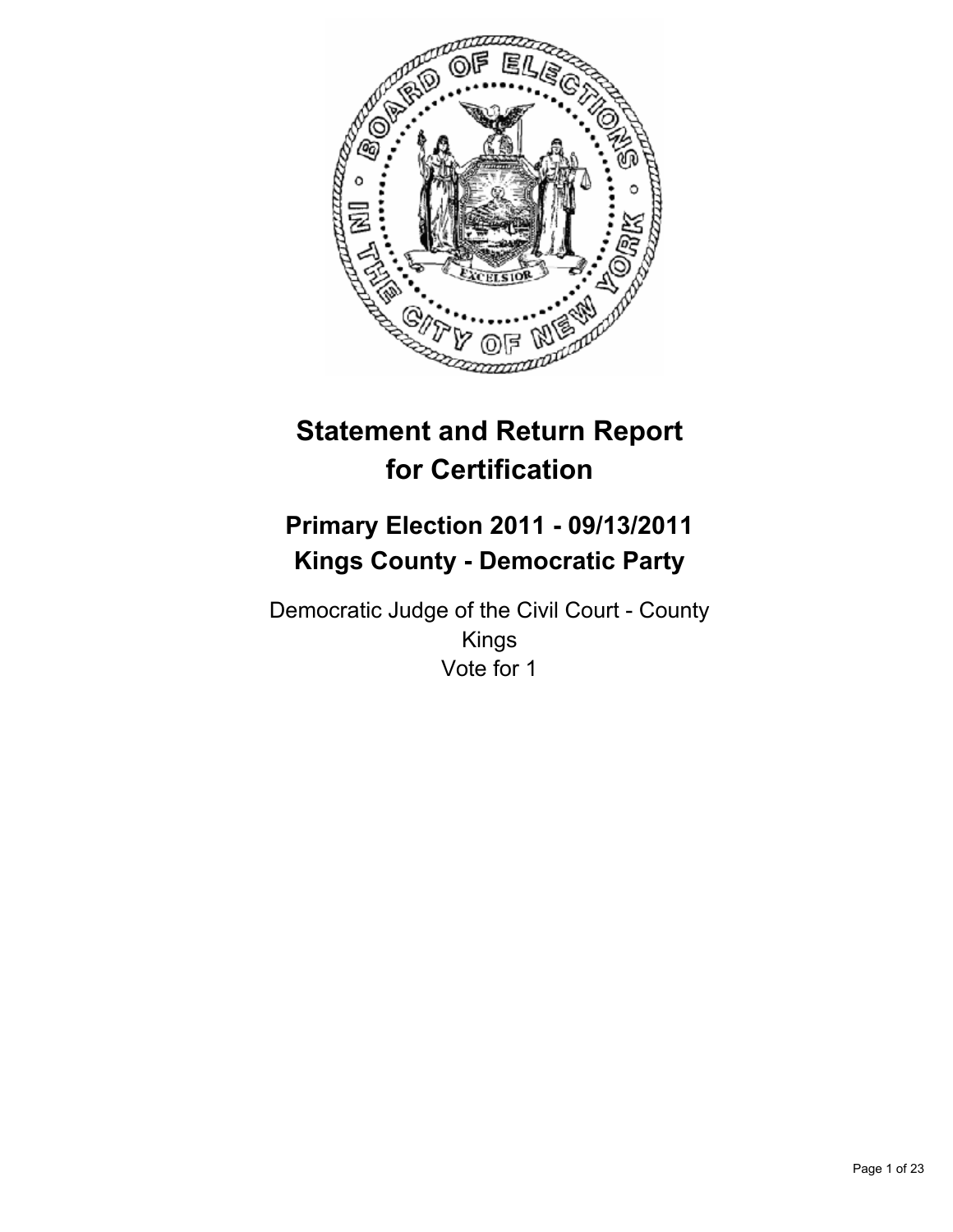

# **Statement and Return Report for Certification**

## **Primary Election 2011 - 09/13/2011 Kings County - Democratic Party**

Democratic Judge of the Civil Court - County Kings Vote for 1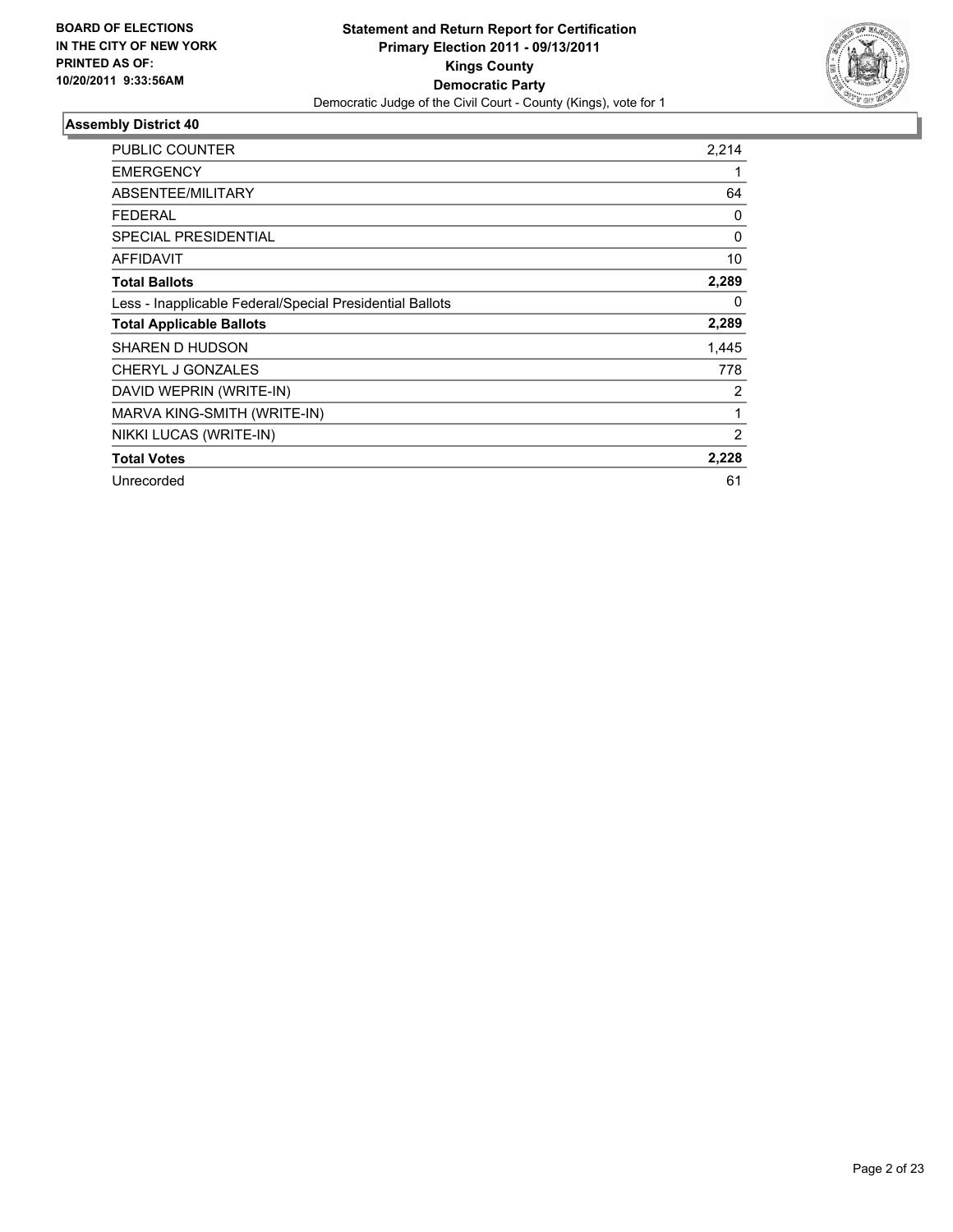

| <b>PUBLIC COUNTER</b>                                    | 2,214    |
|----------------------------------------------------------|----------|
| <b>EMERGENCY</b>                                         |          |
| ABSENTEE/MILITARY                                        | 64       |
| <b>FEDERAL</b>                                           | 0        |
| <b>SPECIAL PRESIDENTIAL</b>                              | $\Omega$ |
| <b>AFFIDAVIT</b>                                         | 10       |
| <b>Total Ballots</b>                                     | 2,289    |
| Less - Inapplicable Federal/Special Presidential Ballots | $\Omega$ |
| <b>Total Applicable Ballots</b>                          | 2,289    |
| SHAREN D HUDSON                                          | 1,445    |
| CHERYL J GONZALES                                        | 778      |
| DAVID WEPRIN (WRITE-IN)                                  | 2        |
| MARVA KING-SMITH (WRITE-IN)                              | 1        |
| NIKKI LUCAS (WRITE-IN)                                   | 2        |
| <b>Total Votes</b>                                       | 2,228    |
| Unrecorded                                               | 61       |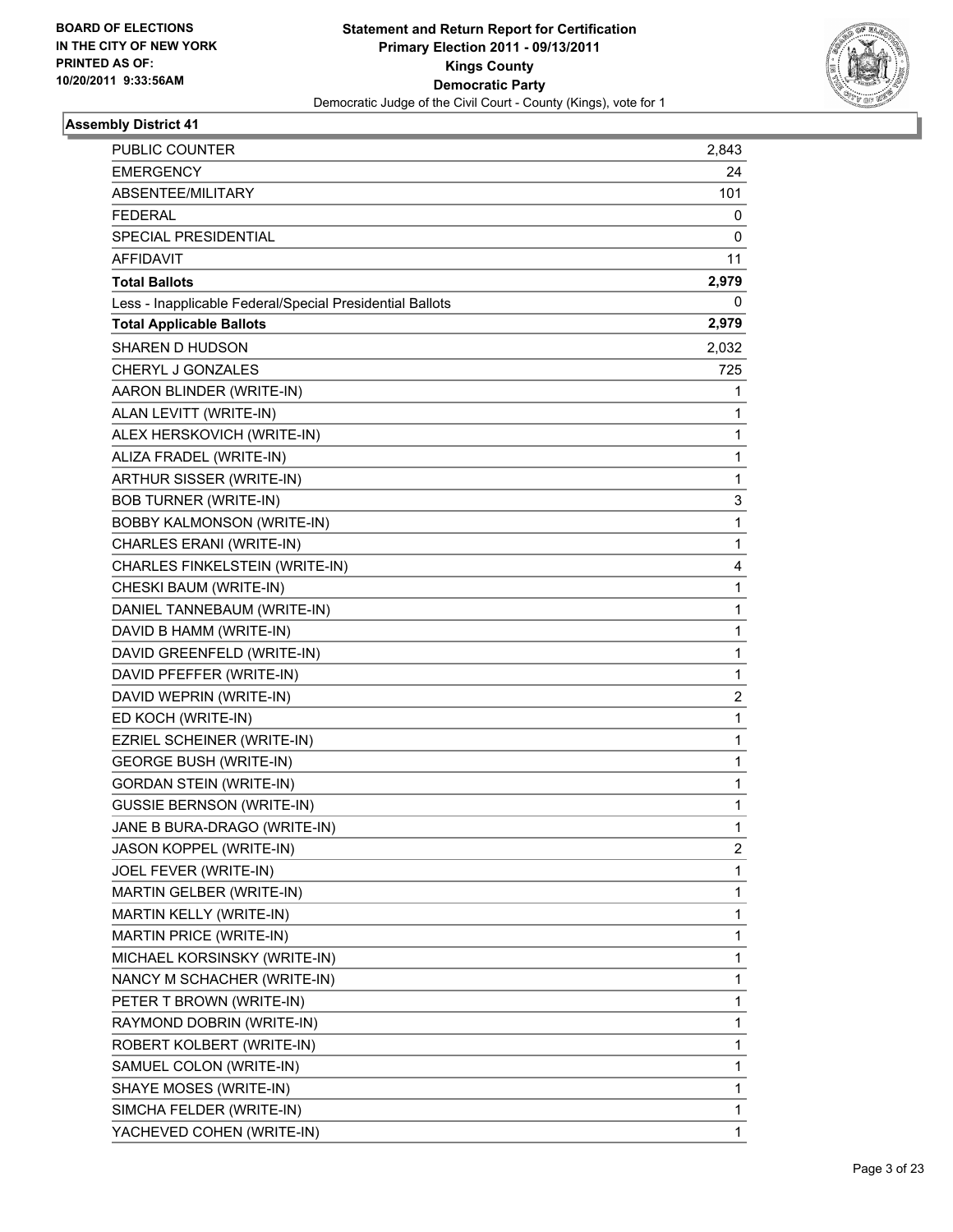

| PUBLIC COUNTER                                           | 2.843 |
|----------------------------------------------------------|-------|
| <b>EMERGENCY</b>                                         | 24    |
| ABSENTEE/MILITARY                                        | 101   |
| <b>FEDERAL</b>                                           | 0     |
| SPECIAL PRESIDENTIAL                                     | 0     |
| <b>AFFIDAVIT</b>                                         | 11    |
| <b>Total Ballots</b>                                     | 2,979 |
| Less - Inapplicable Federal/Special Presidential Ballots | 0     |
| <b>Total Applicable Ballots</b>                          | 2,979 |
| SHAREN D HUDSON                                          | 2,032 |
| CHERYL J GONZALES                                        | 725   |
| AARON BLINDER (WRITE-IN)                                 | 1     |
| ALAN LEVITT (WRITE-IN)                                   | 1     |
| ALEX HERSKOVICH (WRITE-IN)                               | 1     |
| ALIZA FRADEL (WRITE-IN)                                  | 1     |
| ARTHUR SISSER (WRITE-IN)                                 | 1     |
| <b>BOB TURNER (WRITE-IN)</b>                             | 3     |
| <b>BOBBY KALMONSON (WRITE-IN)</b>                        | 1     |
| CHARLES ERANI (WRITE-IN)                                 | 1     |
| CHARLES FINKELSTEIN (WRITE-IN)                           | 4     |
| CHESKI BAUM (WRITE-IN)                                   | 1     |
| DANIEL TANNEBAUM (WRITE-IN)                              | 1     |
| DAVID B HAMM (WRITE-IN)                                  | 1     |
| DAVID GREENFELD (WRITE-IN)                               | 1     |
| DAVID PFEFFER (WRITE-IN)                                 | 1     |
| DAVID WEPRIN (WRITE-IN)                                  | 2     |
| ED KOCH (WRITE-IN)                                       | 1     |
| EZRIEL SCHEINER (WRITE-IN)                               | 1     |
| <b>GEORGE BUSH (WRITE-IN)</b>                            | 1     |
| <b>GORDAN STEIN (WRITE-IN)</b>                           | 1     |
| <b>GUSSIE BERNSON (WRITE-IN)</b>                         | 1     |
| JANE B BURA-DRAGO (WRITE-IN)                             | 1     |
| JASON KOPPEL (WRITE-IN)                                  | 2     |
| JOEL FEVER (WRITE-IN)                                    | 1     |
| MARTIN GELBER (WRITE-IN)                                 | 1     |
| MARTIN KELLY (WRITE-IN)                                  | 1     |
| MARTIN PRICE (WRITE-IN)                                  | 1     |
| MICHAEL KORSINSKY (WRITE-IN)                             | 1     |
| NANCY M SCHACHER (WRITE-IN)                              | 1     |
| PETER T BROWN (WRITE-IN)                                 | 1     |
| RAYMOND DOBRIN (WRITE-IN)                                | 1     |
| ROBERT KOLBERT (WRITE-IN)                                | 1     |
| SAMUEL COLON (WRITE-IN)                                  | 1     |
| SHAYE MOSES (WRITE-IN)                                   | 1     |
| SIMCHA FELDER (WRITE-IN)                                 | 1     |
| YACHEVED COHEN (WRITE-IN)                                | 1     |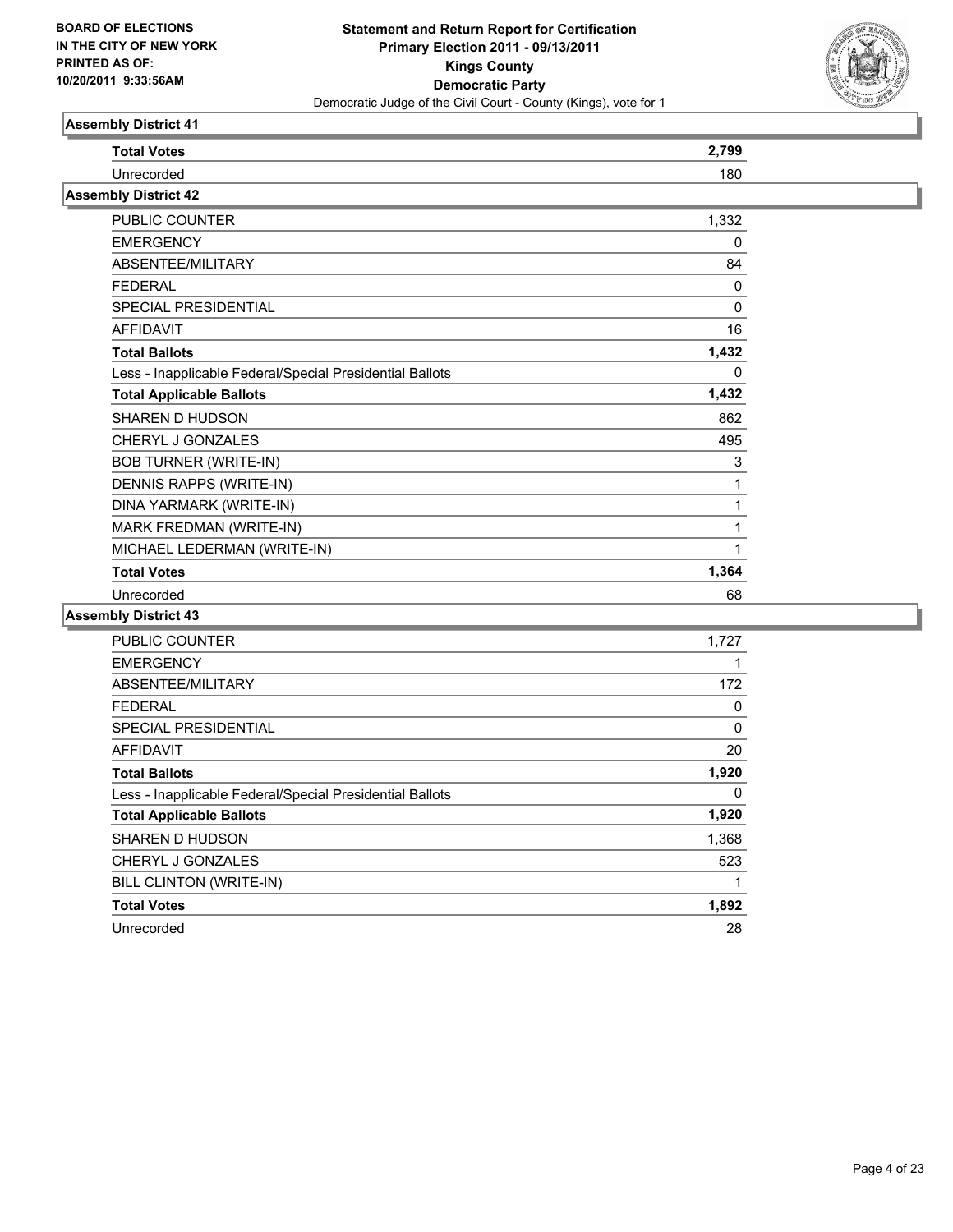

| <b>Total Votes</b>                                       | 2,799    |
|----------------------------------------------------------|----------|
| Unrecorded                                               | 180      |
| <b>Assembly District 42</b>                              |          |
| <b>PUBLIC COUNTER</b>                                    | 1,332    |
| <b>EMERGENCY</b>                                         | 0        |
| ABSENTEE/MILITARY                                        | 84       |
| <b>FEDERAL</b>                                           | 0        |
| <b>SPECIAL PRESIDENTIAL</b>                              | $\Omega$ |
| <b>AFFIDAVIT</b>                                         | 16       |
| <b>Total Ballots</b>                                     | 1,432    |
| Less - Inapplicable Federal/Special Presidential Ballots | 0        |
| <b>Total Applicable Ballots</b>                          | 1,432    |
| <b>SHAREN D HUDSON</b>                                   | 862      |
| CHERYL J GONZALES                                        | 495      |
| <b>BOB TURNER (WRITE-IN)</b>                             | 3        |
| DENNIS RAPPS (WRITE-IN)                                  | 1        |
| DINA YARMARK (WRITE-IN)                                  | 1        |
| MARK FREDMAN (WRITE-IN)                                  | 1        |
| MICHAEL LEDERMAN (WRITE-IN)                              | 1        |
| <b>Total Votes</b>                                       | 1,364    |
| Unrecorded                                               | 68       |

| <b>PUBLIC COUNTER</b>                                    | 1,727 |
|----------------------------------------------------------|-------|
| <b>EMERGENCY</b>                                         | 1     |
| ABSENTEE/MILITARY                                        | 172   |
| <b>FEDERAL</b>                                           | 0     |
| <b>SPECIAL PRESIDENTIAL</b>                              | 0     |
| <b>AFFIDAVIT</b>                                         | 20    |
| <b>Total Ballots</b>                                     | 1,920 |
| Less - Inapplicable Federal/Special Presidential Ballots | 0     |
| <b>Total Applicable Ballots</b>                          | 1,920 |
| SHAREN D HUDSON                                          | 1,368 |
| <b>CHERYL J GONZALES</b>                                 | 523   |
| BILL CLINTON (WRITE-IN)                                  | 1     |
| <b>Total Votes</b>                                       | 1,892 |
| Unrecorded                                               | 28    |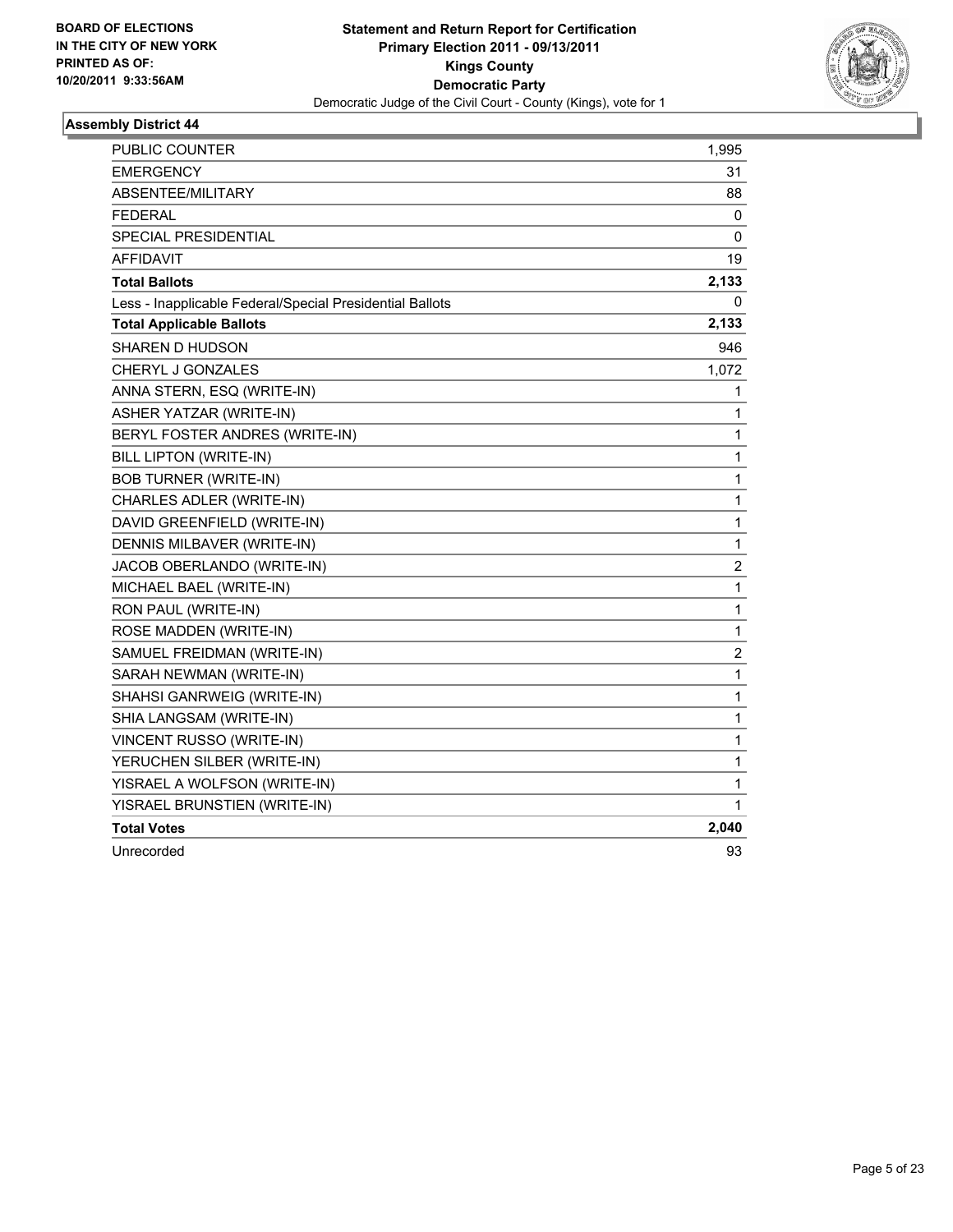

| PUBLIC COUNTER                                           | 1,995                   |
|----------------------------------------------------------|-------------------------|
| <b>EMERGENCY</b>                                         | 31                      |
| ABSENTEE/MILITARY                                        | 88                      |
| <b>FEDERAL</b>                                           | 0                       |
| <b>SPECIAL PRESIDENTIAL</b>                              | 0                       |
| <b>AFFIDAVIT</b>                                         | 19                      |
| <b>Total Ballots</b>                                     | 2,133                   |
| Less - Inapplicable Federal/Special Presidential Ballots | 0                       |
| <b>Total Applicable Ballots</b>                          | 2,133                   |
| SHAREN D HUDSON                                          | 946                     |
| CHERYL J GONZALES                                        | 1,072                   |
| ANNA STERN, ESQ (WRITE-IN)                               | 1                       |
| ASHER YATZAR (WRITE-IN)                                  | 1                       |
| BERYL FOSTER ANDRES (WRITE-IN)                           | 1                       |
| BILL LIPTON (WRITE-IN)                                   | 1                       |
| <b>BOB TURNER (WRITE-IN)</b>                             | $\mathbf{1}$            |
| CHARLES ADLER (WRITE-IN)                                 | $\mathbf 1$             |
| DAVID GREENFIELD (WRITE-IN)                              | 1                       |
| DENNIS MILBAVER (WRITE-IN)                               | 1                       |
| JACOB OBERLANDO (WRITE-IN)                               | $\overline{\mathbf{c}}$ |
| MICHAEL BAEL (WRITE-IN)                                  | 1                       |
| RON PAUL (WRITE-IN)                                      | 1                       |
| ROSE MADDEN (WRITE-IN)                                   | 1                       |
| SAMUEL FREIDMAN (WRITE-IN)                               | $\overline{\mathbf{c}}$ |
| SARAH NEWMAN (WRITE-IN)                                  | 1                       |
| SHAHSI GANRWEIG (WRITE-IN)                               | 1                       |
| SHIA LANGSAM (WRITE-IN)                                  | 1                       |
| VINCENT RUSSO (WRITE-IN)                                 | 1                       |
| YERUCHEN SILBER (WRITE-IN)                               | 1                       |
| YISRAEL A WOLFSON (WRITE-IN)                             | 1                       |
| YISRAEL BRUNSTIEN (WRITE-IN)                             | 1                       |
| <b>Total Votes</b>                                       | 2,040                   |
| Unrecorded                                               | 93                      |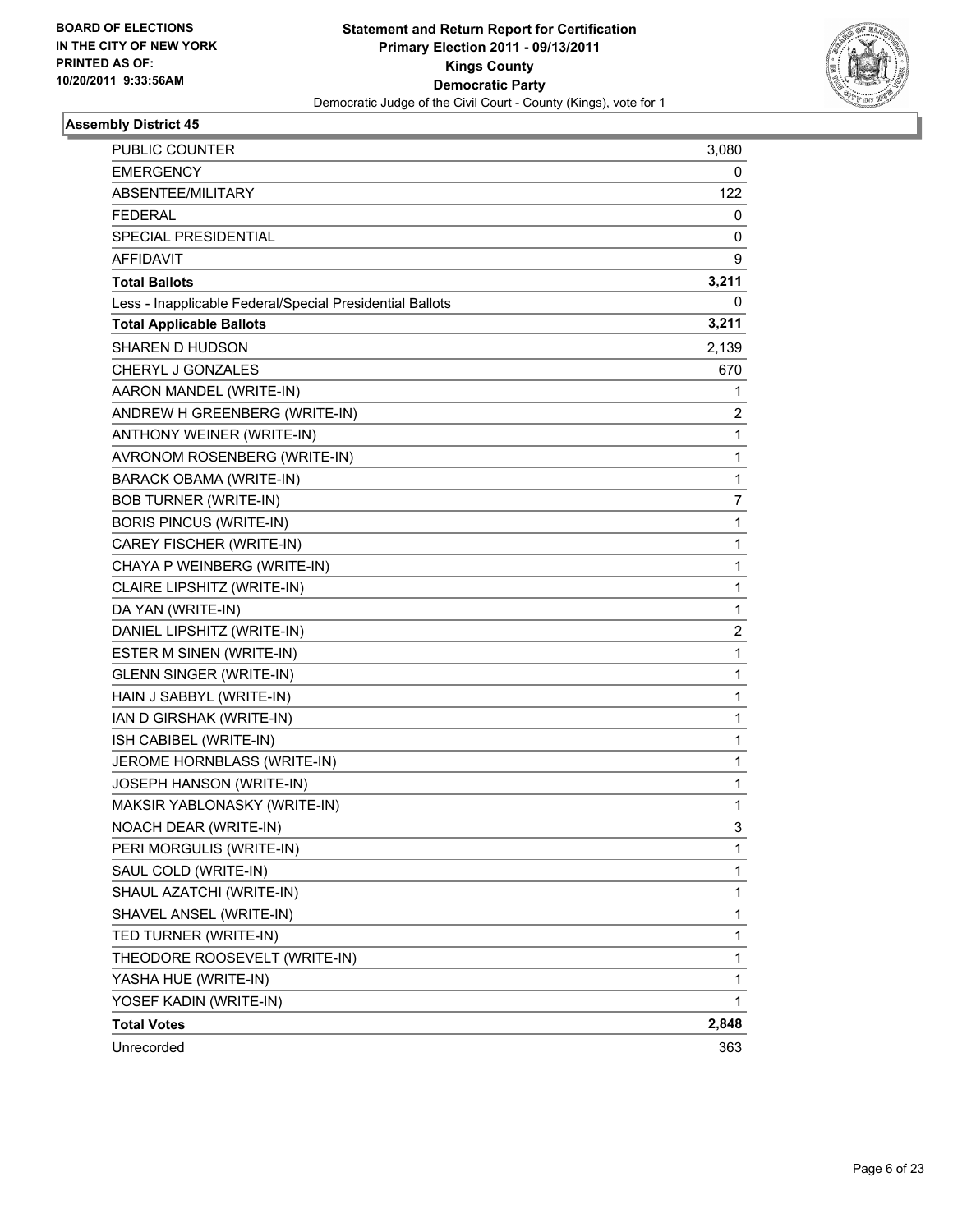

| PUBLIC COUNTER                                           | 3,080        |
|----------------------------------------------------------|--------------|
| <b>EMERGENCY</b>                                         | 0            |
| ABSENTEE/MILITARY                                        | 122          |
| <b>FEDERAL</b>                                           | 0            |
| SPECIAL PRESIDENTIAL                                     | 0            |
| AFFIDAVIT                                                | 9            |
| <b>Total Ballots</b>                                     | 3,211        |
| Less - Inapplicable Federal/Special Presidential Ballots | 0            |
| <b>Total Applicable Ballots</b>                          | 3,211        |
| <b>SHAREN D HUDSON</b>                                   | 2,139        |
| CHERYL J GONZALES                                        | 670          |
| AARON MANDEL (WRITE-IN)                                  | 1            |
| ANDREW H GREENBERG (WRITE-IN)                            | 2            |
| ANTHONY WEINER (WRITE-IN)                                | 1            |
| AVRONOM ROSENBERG (WRITE-IN)                             | $\mathbf{1}$ |
| <b>BARACK OBAMA (WRITE-IN)</b>                           | 1            |
| <b>BOB TURNER (WRITE-IN)</b>                             | 7            |
| <b>BORIS PINCUS (WRITE-IN)</b>                           | 1            |
| CAREY FISCHER (WRITE-IN)                                 | 1            |
| CHAYA P WEINBERG (WRITE-IN)                              | 1            |
| CLAIRE LIPSHITZ (WRITE-IN)                               | $\mathbf{1}$ |
| DA YAN (WRITE-IN)                                        | 1            |
| DANIEL LIPSHITZ (WRITE-IN)                               | 2            |
| ESTER M SINEN (WRITE-IN)                                 | 1            |
| <b>GLENN SINGER (WRITE-IN)</b>                           | 1            |
| HAIN J SABBYL (WRITE-IN)                                 | 1            |
| IAN D GIRSHAK (WRITE-IN)                                 | 1            |
| ISH CABIBEL (WRITE-IN)                                   | 1            |
| JEROME HORNBLASS (WRITE-IN)                              | 1            |
| JOSEPH HANSON (WRITE-IN)                                 | 1            |
| MAKSIR YABLONASKY (WRITE-IN)                             | 1            |
| NOACH DEAR (WRITE-IN)                                    | 3            |
| PERI MORGULIS (WRITE-IN)                                 | 1            |
| SAUL COLD (WRITE-IN)                                     | 1            |
| SHAUL AZATCHI (WRITE-IN)                                 | 1            |
| SHAVEL ANSEL (WRITE-IN)                                  | 1            |
| TED TURNER (WRITE-IN)                                    | 1            |
| THEODORE ROOSEVELT (WRITE-IN)                            | 1            |
| YASHA HUE (WRITE-IN)                                     | 1            |
| YOSEF KADIN (WRITE-IN)                                   | 1            |
| <b>Total Votes</b>                                       | 2,848        |
| Unrecorded                                               | 363          |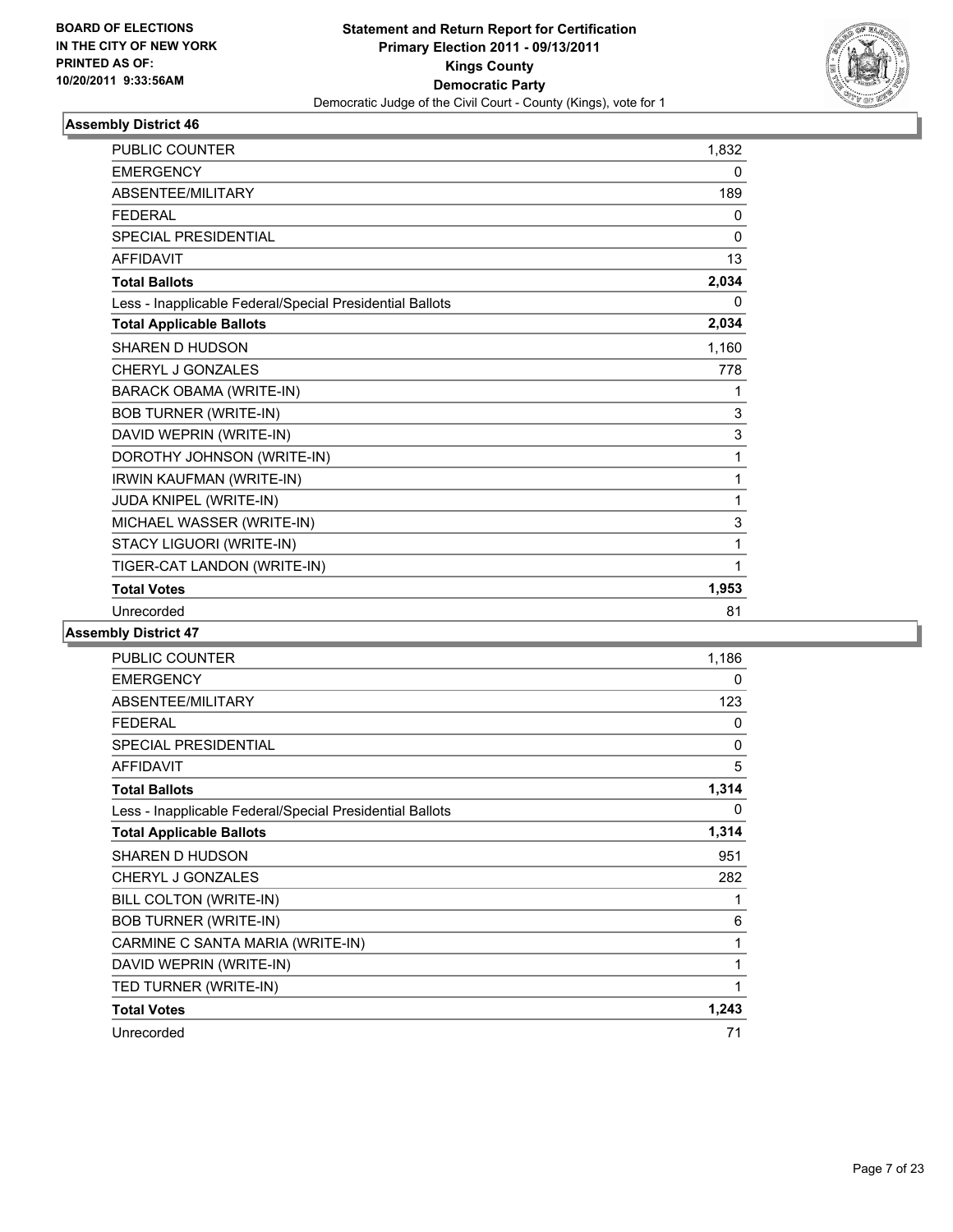

| <b>PUBLIC COUNTER</b>                                    | 1,832    |
|----------------------------------------------------------|----------|
| <b>EMERGENCY</b>                                         | 0        |
| <b>ABSENTEE/MILITARY</b>                                 | 189      |
| <b>FEDERAL</b>                                           | 0        |
| <b>SPECIAL PRESIDENTIAL</b>                              | $\Omega$ |
| <b>AFFIDAVIT</b>                                         | 13       |
| <b>Total Ballots</b>                                     | 2,034    |
| Less - Inapplicable Federal/Special Presidential Ballots | 0        |
| <b>Total Applicable Ballots</b>                          | 2,034    |
| SHAREN D HUDSON                                          | 1,160    |
| CHERYL J GONZALES                                        | 778      |
| <b>BARACK OBAMA (WRITE-IN)</b>                           | 1        |
| <b>BOB TURNER (WRITE-IN)</b>                             | 3        |
| DAVID WEPRIN (WRITE-IN)                                  | 3        |
| DOROTHY JOHNSON (WRITE-IN)                               | 1        |
| IRWIN KAUFMAN (WRITE-IN)                                 | 1        |
| JUDA KNIPEL (WRITE-IN)                                   | 1        |
| MICHAEL WASSER (WRITE-IN)                                | 3        |
| STACY LIGUORI (WRITE-IN)                                 | 1        |
| TIGER-CAT LANDON (WRITE-IN)                              | 1        |
| <b>Total Votes</b>                                       | 1,953    |
| Unrecorded                                               | 81       |

| PUBLIC COUNTER                                           | 1,186 |
|----------------------------------------------------------|-------|
| <b>EMERGENCY</b>                                         | 0     |
| ABSENTEE/MILITARY                                        | 123   |
| <b>FEDERAL</b>                                           | 0     |
| <b>SPECIAL PRESIDENTIAL</b>                              | 0     |
| <b>AFFIDAVIT</b>                                         | 5     |
| <b>Total Ballots</b>                                     | 1,314 |
| Less - Inapplicable Federal/Special Presidential Ballots | 0     |
| <b>Total Applicable Ballots</b>                          | 1,314 |
| <b>SHAREN D HUDSON</b>                                   | 951   |
| CHERYL J GONZALES                                        | 282   |
| BILL COLTON (WRITE-IN)                                   | 1     |
| <b>BOB TURNER (WRITE-IN)</b>                             | 6     |
| CARMINE C SANTA MARIA (WRITE-IN)                         | 1     |
| DAVID WEPRIN (WRITE-IN)                                  | 1     |
| TED TURNER (WRITE-IN)                                    | 1     |
| <b>Total Votes</b>                                       | 1,243 |
| Unrecorded                                               | 71    |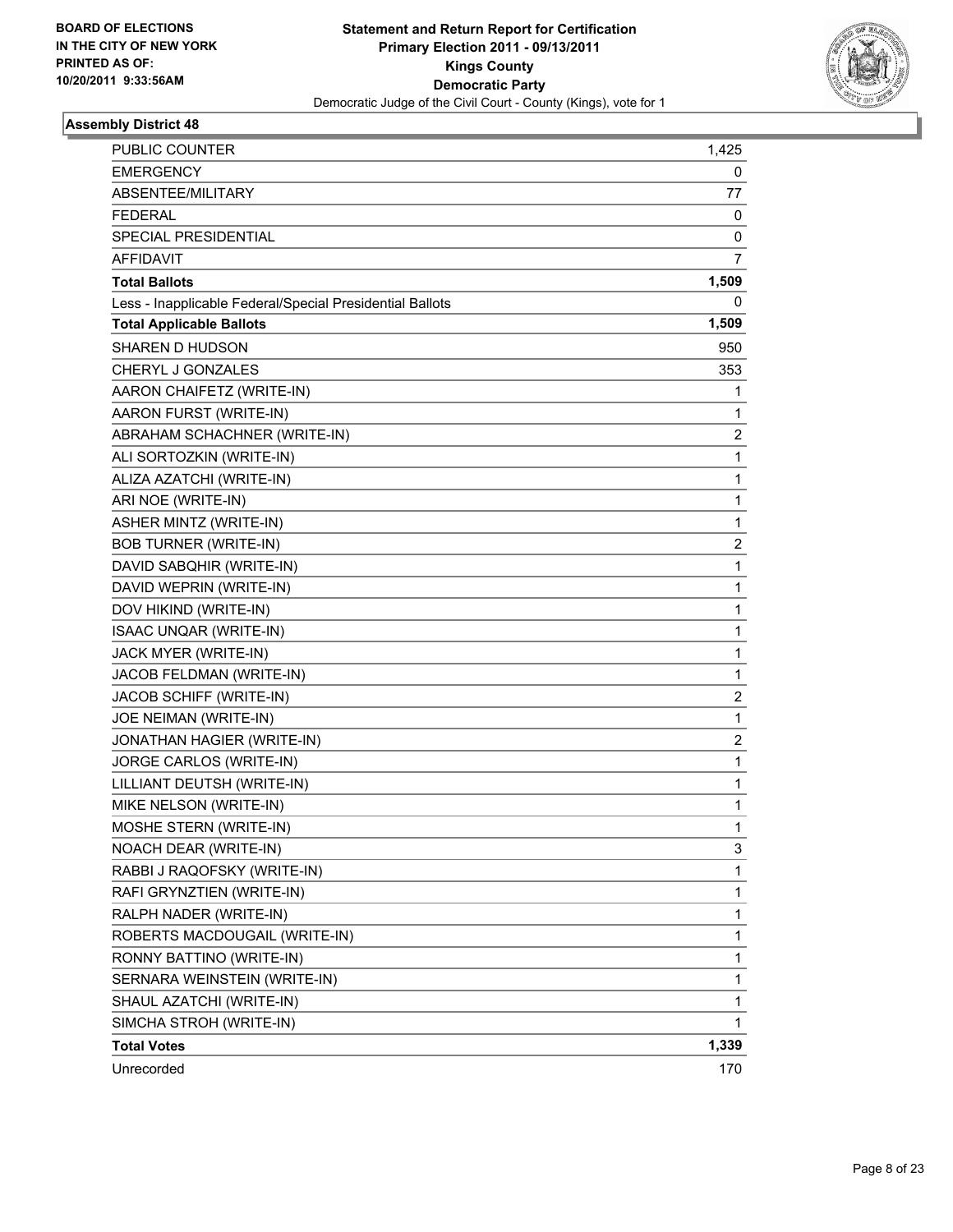

| <b>PUBLIC COUNTER</b>                                    | 1,425        |
|----------------------------------------------------------|--------------|
| <b>EMERGENCY</b>                                         | 0            |
| ABSENTEE/MILITARY                                        | 77           |
| <b>FEDERAL</b>                                           | 0            |
| SPECIAL PRESIDENTIAL                                     | 0            |
| <b>AFFIDAVIT</b>                                         | 7            |
| <b>Total Ballots</b>                                     | 1,509        |
| Less - Inapplicable Federal/Special Presidential Ballots | 0            |
| <b>Total Applicable Ballots</b>                          | 1,509        |
| <b>SHAREN D HUDSON</b>                                   | 950          |
| CHERYL J GONZALES                                        | 353          |
| AARON CHAIFETZ (WRITE-IN)                                | 1            |
| AARON FURST (WRITE-IN)                                   | 1            |
| ABRAHAM SCHACHNER (WRITE-IN)                             | 2            |
| ALI SORTOZKIN (WRITE-IN)                                 | $\mathbf{1}$ |
| ALIZA AZATCHI (WRITE-IN)                                 | 1            |
| ARI NOE (WRITE-IN)                                       | 1            |
| <b>ASHER MINTZ (WRITE-IN)</b>                            | $\mathbf{1}$ |
| <b>BOB TURNER (WRITE-IN)</b>                             | 2            |
| DAVID SABQHIR (WRITE-IN)                                 | 1            |
| DAVID WEPRIN (WRITE-IN)                                  | 1            |
| DOV HIKIND (WRITE-IN)                                    | 1            |
| ISAAC UNQAR (WRITE-IN)                                   | 1            |
| JACK MYER (WRITE-IN)                                     | $\mathbf{1}$ |
| JACOB FELDMAN (WRITE-IN)                                 | 1            |
| JACOB SCHIFF (WRITE-IN)                                  | 2            |
| JOE NEIMAN (WRITE-IN)                                    | $\mathbf{1}$ |
| JONATHAN HAGIER (WRITE-IN)                               | 2            |
| JORGE CARLOS (WRITE-IN)                                  | 1            |
| LILLIANT DEUTSH (WRITE-IN)                               | $\mathbf{1}$ |
| MIKE NELSON (WRITE-IN)                                   | 1            |
| MOSHE STERN (WRITE-IN)                                   | 1            |
| NOACH DEAR (WRITE-IN)                                    | 3            |
| RABBI J RAQOFSKY (WRITE-IN)                              | 1            |
| RAFI GRYNZTIEN (WRITE-IN)                                | 1            |
| RALPH NADER (WRITE-IN)                                   | 1            |
| ROBERTS MACDOUGAIL (WRITE-IN)                            | 1            |
| RONNY BATTINO (WRITE-IN)                                 | 1            |
| SERNARA WEINSTEIN (WRITE-IN)                             | 1            |
| SHAUL AZATCHI (WRITE-IN)                                 | 1            |
| SIMCHA STROH (WRITE-IN)                                  | 1            |
| <b>Total Votes</b>                                       | 1,339        |
| Unrecorded                                               | 170          |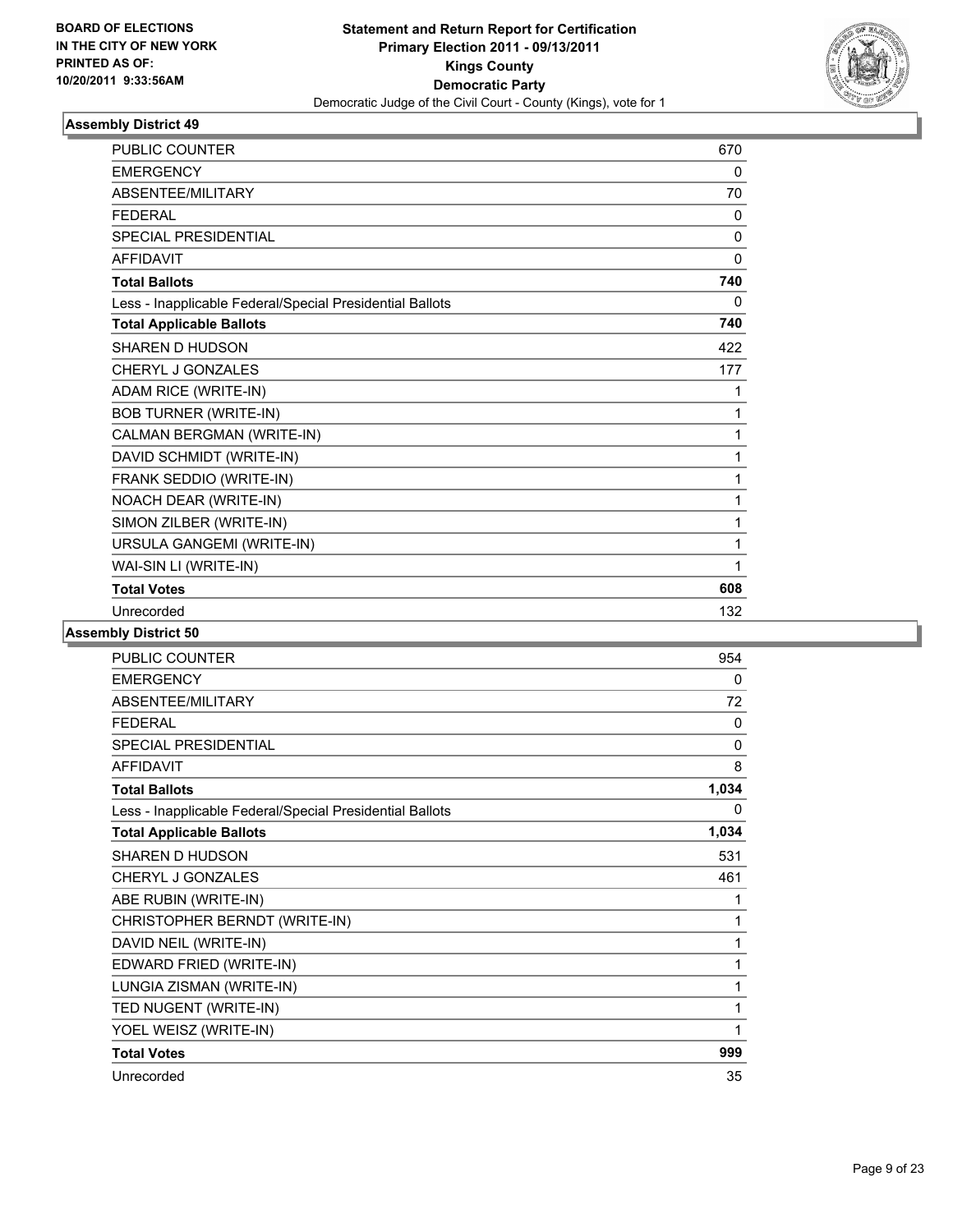

| <b>PUBLIC COUNTER</b>                                    | 670          |
|----------------------------------------------------------|--------------|
| <b>EMERGENCY</b>                                         | 0            |
| ABSENTEE/MILITARY                                        | 70           |
| <b>FFDFRAL</b>                                           | $\mathbf{0}$ |
| <b>SPECIAL PRESIDENTIAL</b>                              | $\mathbf{0}$ |
| <b>AFFIDAVIT</b>                                         | $\mathbf{0}$ |
| <b>Total Ballots</b>                                     | 740          |
| Less - Inapplicable Federal/Special Presidential Ballots | 0            |
| <b>Total Applicable Ballots</b>                          | 740          |
| <b>SHAREN D HUDSON</b>                                   | 422          |
| CHERYL J GONZALES                                        | 177          |
| ADAM RICE (WRITE-IN)                                     | 1            |
| <b>BOB TURNER (WRITE-IN)</b>                             | 1            |
| CALMAN BERGMAN (WRITE-IN)                                | 1            |
| DAVID SCHMIDT (WRITE-IN)                                 | 1            |
| FRANK SEDDIO (WRITE-IN)                                  | 1            |
| NOACH DEAR (WRITE-IN)                                    | 1            |
| SIMON ZILBER (WRITE-IN)                                  | 1            |
| URSULA GANGEMI (WRITE-IN)                                | 1            |
| WAI-SIN LI (WRITE-IN)                                    | 1            |
| <b>Total Votes</b>                                       | 608          |
| Unrecorded                                               | 132          |

| PUBLIC COUNTER                                           | 954          |
|----------------------------------------------------------|--------------|
| <b>EMERGENCY</b>                                         | 0            |
| ABSENTEE/MILITARY                                        | 72           |
| <b>FEDERAL</b>                                           | 0            |
| <b>SPECIAL PRESIDENTIAL</b>                              | $\mathbf{0}$ |
| <b>AFFIDAVIT</b>                                         | 8            |
| <b>Total Ballots</b>                                     | 1,034        |
| Less - Inapplicable Federal/Special Presidential Ballots | $\Omega$     |
| <b>Total Applicable Ballots</b>                          | 1,034        |
| <b>SHAREN D HUDSON</b>                                   | 531          |
| CHERYL J GONZALES                                        | 461          |
| ABE RUBIN (WRITE-IN)                                     | 1            |
| CHRISTOPHER BERNDT (WRITE-IN)                            | 1            |
| DAVID NEIL (WRITE-IN)                                    | 1            |
| EDWARD FRIED (WRITE-IN)                                  | 1            |
| LUNGIA ZISMAN (WRITE-IN)                                 | 1            |
| TED NUGENT (WRITE-IN)                                    | 1            |
| YOEL WEISZ (WRITE-IN)                                    | 1            |
| <b>Total Votes</b>                                       | 999          |
| Unrecorded                                               | 35           |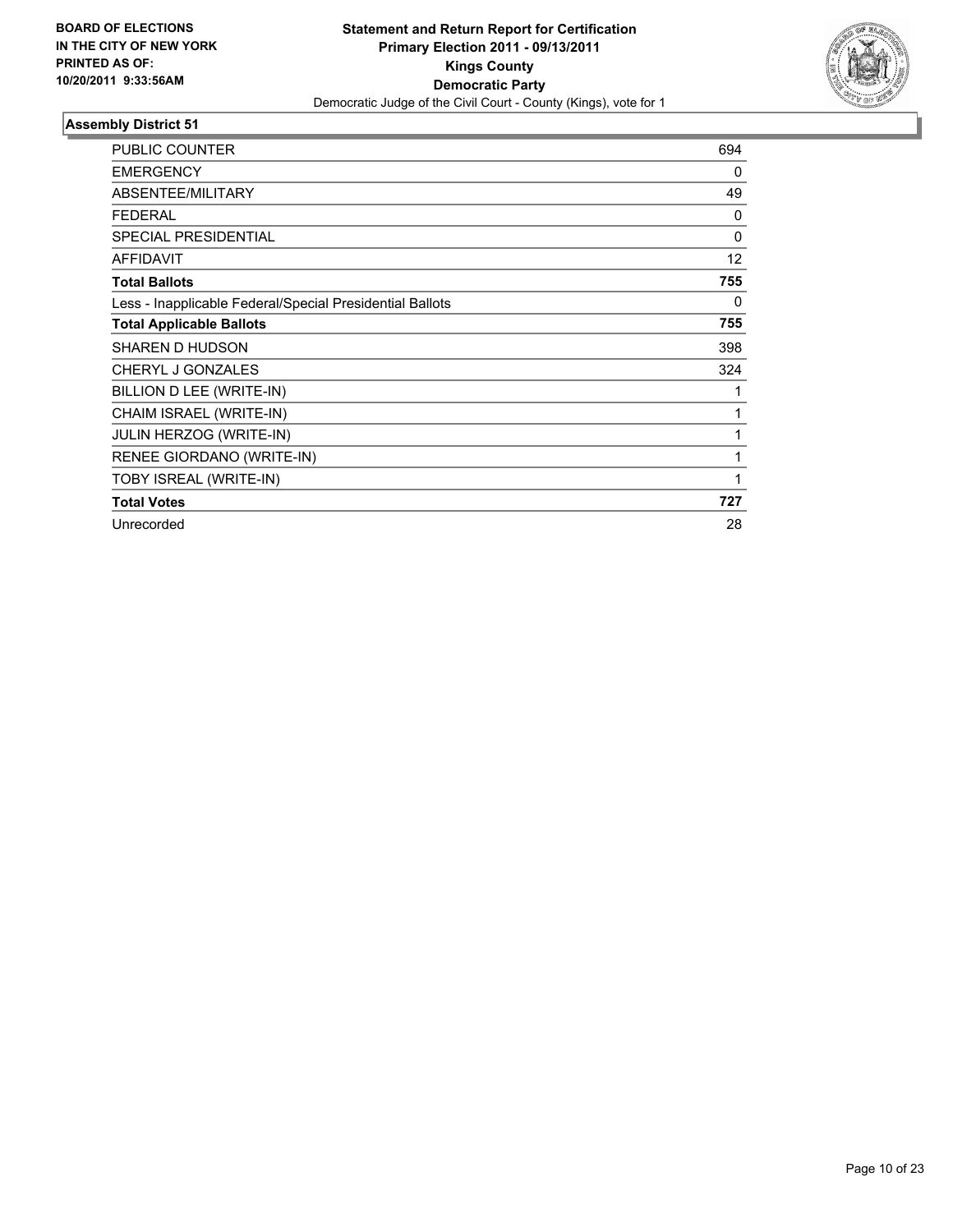

| <b>PUBLIC COUNTER</b>                                    | 694      |
|----------------------------------------------------------|----------|
| <b>EMERGENCY</b>                                         | 0        |
| ABSENTEE/MILITARY                                        | 49       |
| <b>FEDERAL</b>                                           | 0        |
| <b>SPECIAL PRESIDENTIAL</b>                              | $\Omega$ |
| <b>AFFIDAVIT</b>                                         | 12       |
| <b>Total Ballots</b>                                     | 755      |
| Less - Inapplicable Federal/Special Presidential Ballots | 0        |
| <b>Total Applicable Ballots</b>                          | 755      |
| <b>SHAREN D HUDSON</b>                                   | 398      |
| CHERYL J GONZALES                                        | 324      |
| BILLION D LEE (WRITE-IN)                                 |          |
| CHAIM ISRAEL (WRITE-IN)                                  | 1        |
| <b>JULIN HERZOG (WRITE-IN)</b>                           | 1        |
| RENEE GIORDANO (WRITE-IN)                                | 1        |
| TOBY ISREAL (WRITE-IN)                                   | 1        |
| <b>Total Votes</b>                                       | 727      |
| Unrecorded                                               | 28       |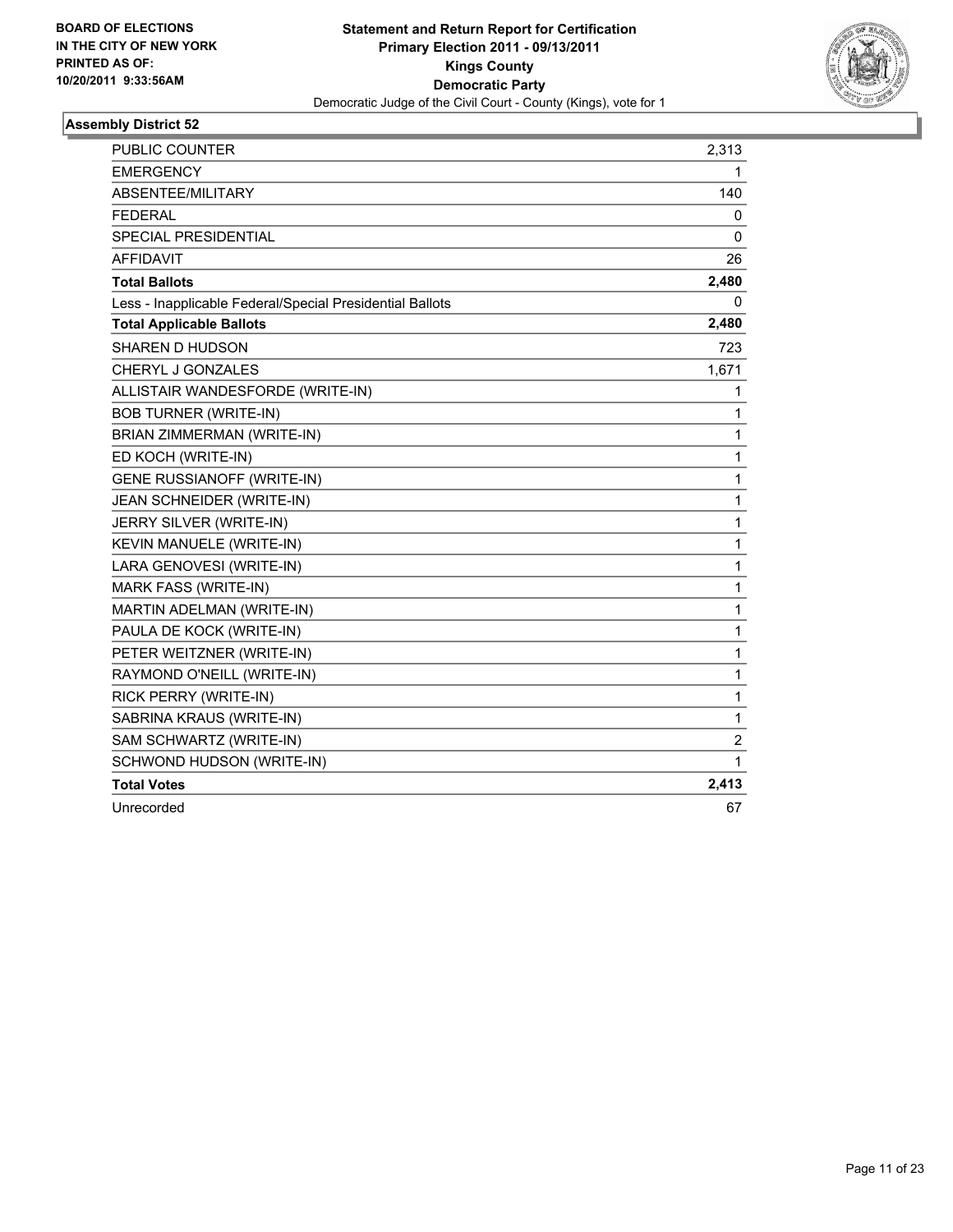

| <b>PUBLIC COUNTER</b>                                    | 2,313          |
|----------------------------------------------------------|----------------|
| <b>EMERGENCY</b>                                         | 1              |
| ABSENTEE/MILITARY                                        | 140            |
| <b>FEDERAL</b>                                           | 0              |
| SPECIAL PRESIDENTIAL                                     | 0              |
| <b>AFFIDAVIT</b>                                         | 26             |
| <b>Total Ballots</b>                                     | 2,480          |
| Less - Inapplicable Federal/Special Presidential Ballots | 0              |
| <b>Total Applicable Ballots</b>                          | 2,480          |
| SHAREN D HUDSON                                          | 723            |
| <b>CHERYL J GONZALES</b>                                 | 1,671          |
| ALLISTAIR WANDESFORDE (WRITE-IN)                         | 1              |
| <b>BOB TURNER (WRITE-IN)</b>                             | 1              |
| BRIAN ZIMMERMAN (WRITE-IN)                               | $\mathbf{1}$   |
| ED KOCH (WRITE-IN)                                       | $\mathbf{1}$   |
| <b>GENE RUSSIANOFF (WRITE-IN)</b>                        | $\mathbf{1}$   |
| JEAN SCHNEIDER (WRITE-IN)                                | $\mathbf{1}$   |
| JERRY SILVER (WRITE-IN)                                  | $\mathbf 1$    |
| KEVIN MANUELE (WRITE-IN)                                 | $\mathbf{1}$   |
| LARA GENOVESI (WRITE-IN)                                 | $\mathbf 1$    |
| <b>MARK FASS (WRITE-IN)</b>                              | $\mathbf{1}$   |
| MARTIN ADELMAN (WRITE-IN)                                | $\mathbf{1}$   |
| PAULA DE KOCK (WRITE-IN)                                 | $\mathbf{1}$   |
| PETER WEITZNER (WRITE-IN)                                | $\mathbf 1$    |
| RAYMOND O'NEILL (WRITE-IN)                               | $\mathbf{1}$   |
| RICK PERRY (WRITE-IN)                                    | $\mathbf{1}$   |
| SABRINA KRAUS (WRITE-IN)                                 | $\mathbf 1$    |
| SAM SCHWARTZ (WRITE-IN)                                  | $\overline{c}$ |
| SCHWOND HUDSON (WRITE-IN)                                | 1              |
| <b>Total Votes</b>                                       | 2,413          |
| Unrecorded                                               | 67             |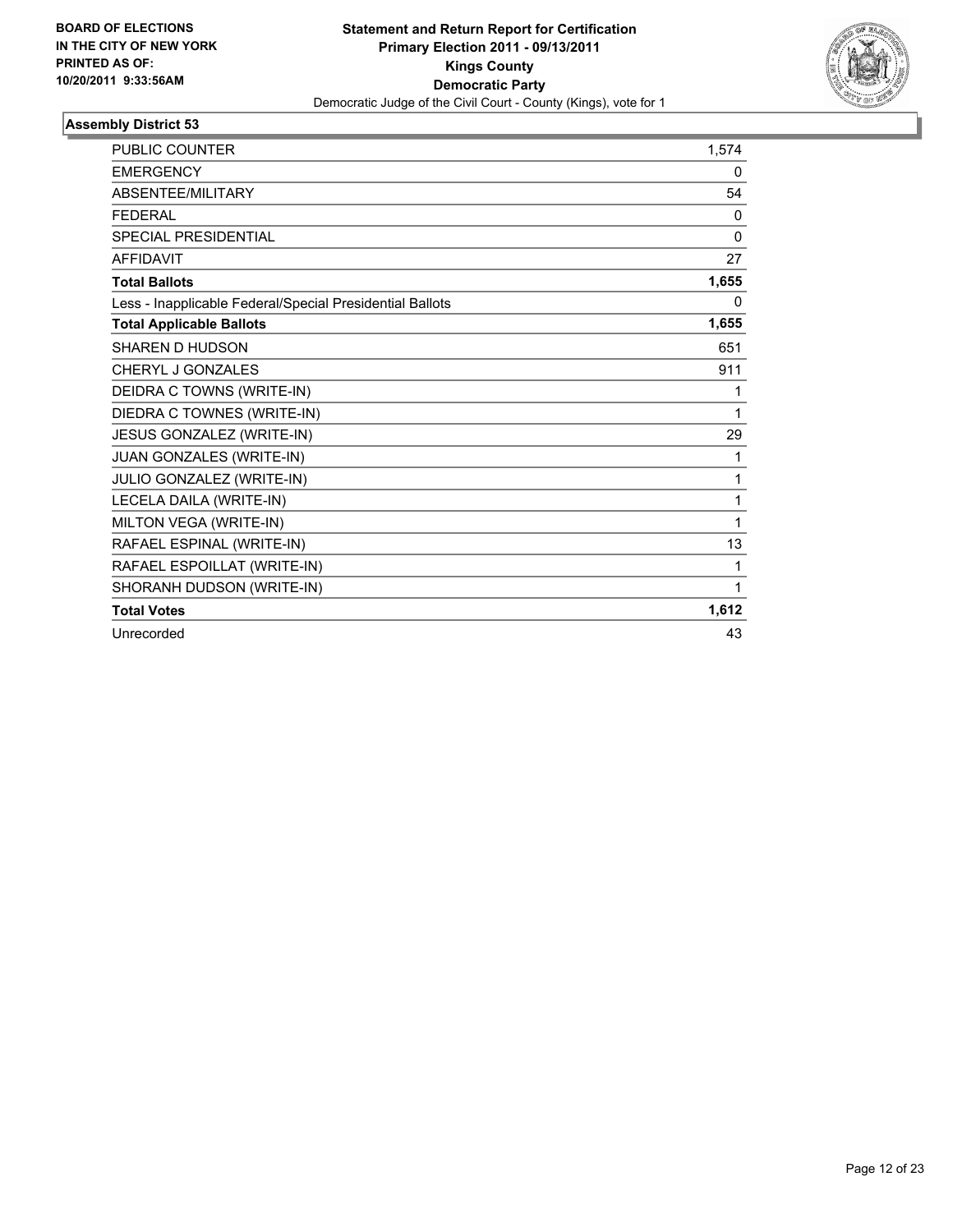

| <b>PUBLIC COUNTER</b>                                    | 1.574        |
|----------------------------------------------------------|--------------|
| <b>EMERGENCY</b>                                         | 0            |
| ABSENTEE/MILITARY                                        | 54           |
| <b>FEDERAL</b>                                           | 0            |
| <b>SPECIAL PRESIDENTIAL</b>                              | $\mathbf{0}$ |
| <b>AFFIDAVIT</b>                                         | 27           |
| <b>Total Ballots</b>                                     | 1,655        |
| Less - Inapplicable Federal/Special Presidential Ballots | 0            |
| <b>Total Applicable Ballots</b>                          | 1,655        |
| <b>SHAREN D HUDSON</b>                                   | 651          |
| CHERYL J GONZALES                                        | 911          |
| DEIDRA C TOWNS (WRITE-IN)                                | 1            |
| DIEDRA C TOWNES (WRITE-IN)                               | 1            |
| JESUS GONZALEZ (WRITE-IN)                                | 29           |
| JUAN GONZALES (WRITE-IN)                                 | 1            |
| JULIO GONZALEZ (WRITE-IN)                                | 1            |
| LECELA DAILA (WRITE-IN)                                  | 1            |
| MILTON VEGA (WRITE-IN)                                   | 1            |
| RAFAEL ESPINAL (WRITE-IN)                                | 13           |
| RAFAEL ESPOILLAT (WRITE-IN)                              | 1            |
| SHORANH DUDSON (WRITE-IN)                                | 1            |
| <b>Total Votes</b>                                       | 1,612        |
| Unrecorded                                               | 43           |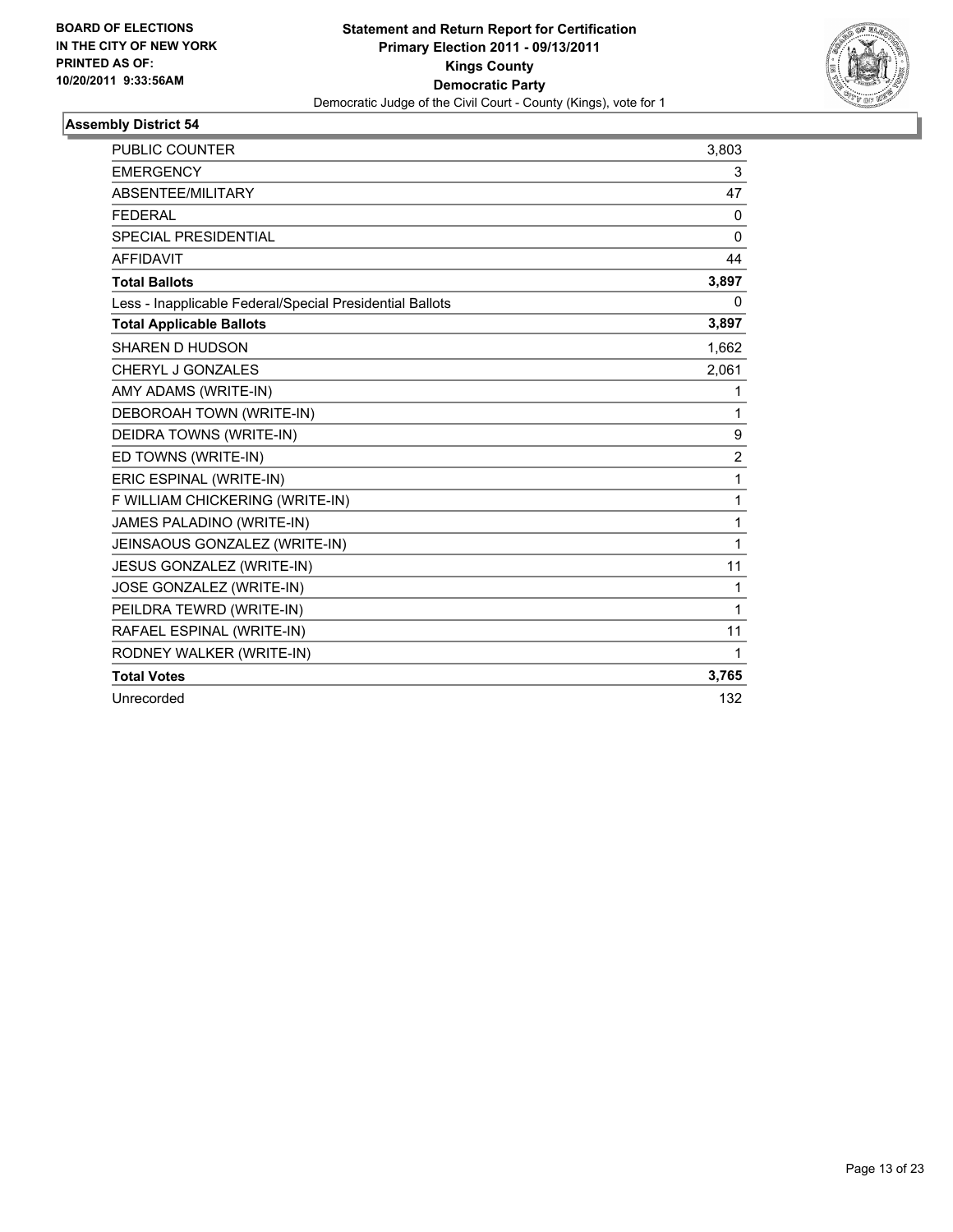

| PUBLIC COUNTER                                           | 3,803          |
|----------------------------------------------------------|----------------|
| <b>EMERGENCY</b>                                         | 3              |
| ABSENTEE/MILITARY                                        | 47             |
| <b>FEDERAL</b>                                           | $\mathbf{0}$   |
| SPECIAL PRESIDENTIAL                                     | $\Omega$       |
| <b>AFFIDAVIT</b>                                         | 44             |
| <b>Total Ballots</b>                                     | 3,897          |
| Less - Inapplicable Federal/Special Presidential Ballots | 0              |
| <b>Total Applicable Ballots</b>                          | 3,897          |
| <b>SHAREN D HUDSON</b>                                   | 1,662          |
| CHERYL J GONZALES                                        | 2,061          |
| AMY ADAMS (WRITE-IN)                                     | 1              |
| DEBOROAH TOWN (WRITE-IN)                                 | 1              |
| DEIDRA TOWNS (WRITE-IN)                                  | 9              |
| ED TOWNS (WRITE-IN)                                      | $\overline{2}$ |
| ERIC ESPINAL (WRITE-IN)                                  | 1              |
| F WILLIAM CHICKERING (WRITE-IN)                          | 1              |
| JAMES PALADINO (WRITE-IN)                                | 1              |
| JEINSAOUS GONZALEZ (WRITE-IN)                            | 1              |
| JESUS GONZALEZ (WRITE-IN)                                | 11             |
| JOSE GONZALEZ (WRITE-IN)                                 | 1              |
| PEILDRA TEWRD (WRITE-IN)                                 | 1              |
| RAFAEL ESPINAL (WRITE-IN)                                | 11             |
| RODNEY WALKER (WRITE-IN)                                 | 1              |
| <b>Total Votes</b>                                       | 3,765          |
| Unrecorded                                               | 132            |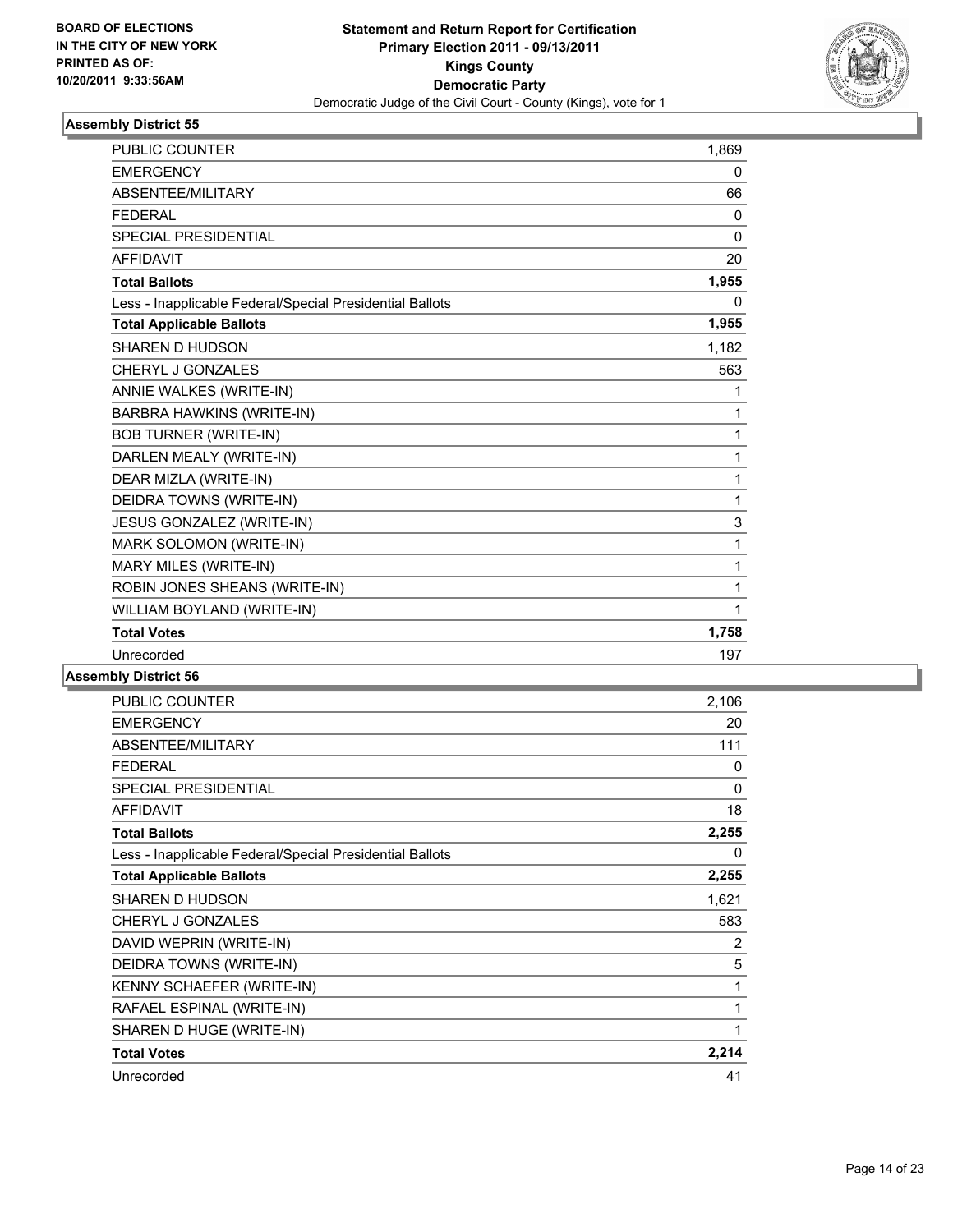

| PUBLIC COUNTER                                           | 1,869        |
|----------------------------------------------------------|--------------|
| <b>EMERGENCY</b>                                         | $\mathbf{0}$ |
| ABSENTEE/MILITARY                                        | 66           |
| <b>FFDFRAL</b>                                           | $\mathbf{0}$ |
| <b>SPECIAL PRESIDENTIAL</b>                              | $\mathbf{0}$ |
| <b>AFFIDAVIT</b>                                         | 20           |
| <b>Total Ballots</b>                                     | 1,955        |
| Less - Inapplicable Federal/Special Presidential Ballots | $\Omega$     |
| <b>Total Applicable Ballots</b>                          | 1,955        |
| SHAREN D HUDSON                                          | 1,182        |
| CHERYL J GONZALES                                        | 563          |
| ANNIE WALKES (WRITE-IN)                                  | 1            |
| BARBRA HAWKINS (WRITE-IN)                                | 1            |
| <b>BOB TURNER (WRITE-IN)</b>                             | 1            |
| DARLEN MEALY (WRITE-IN)                                  | 1            |
| DEAR MIZLA (WRITE-IN)                                    | 1            |
| DEIDRA TOWNS (WRITE-IN)                                  | 1            |
| JESUS GONZALEZ (WRITE-IN)                                | 3            |
| MARK SOLOMON (WRITE-IN)                                  | 1            |
| MARY MILES (WRITE-IN)                                    | 1            |
| ROBIN JONES SHEANS (WRITE-IN)                            | 1            |
| WILLIAM BOYLAND (WRITE-IN)                               | 1            |
| <b>Total Votes</b>                                       | 1,758        |
| Unrecorded                                               | 197          |

| <b>PUBLIC COUNTER</b>                                    | 2,106 |
|----------------------------------------------------------|-------|
| <b>EMERGENCY</b>                                         | 20    |
| ABSENTEE/MILITARY                                        | 111   |
| <b>FEDERAL</b>                                           | 0     |
| <b>SPECIAL PRESIDENTIAL</b>                              | 0     |
| <b>AFFIDAVIT</b>                                         | 18    |
| <b>Total Ballots</b>                                     | 2,255 |
| Less - Inapplicable Federal/Special Presidential Ballots | 0     |
| <b>Total Applicable Ballots</b>                          | 2,255 |
| SHAREN D HUDSON                                          | 1,621 |
| CHERYL J GONZALES                                        | 583   |
| DAVID WEPRIN (WRITE-IN)                                  | 2     |
| DEIDRA TOWNS (WRITE-IN)                                  | 5     |
| KENNY SCHAEFER (WRITE-IN)                                | 1     |
| RAFAEL ESPINAL (WRITE-IN)                                | 1     |
| SHAREN D HUGE (WRITE-IN)                                 | 1     |
| <b>Total Votes</b>                                       | 2,214 |
| Unrecorded                                               | 41    |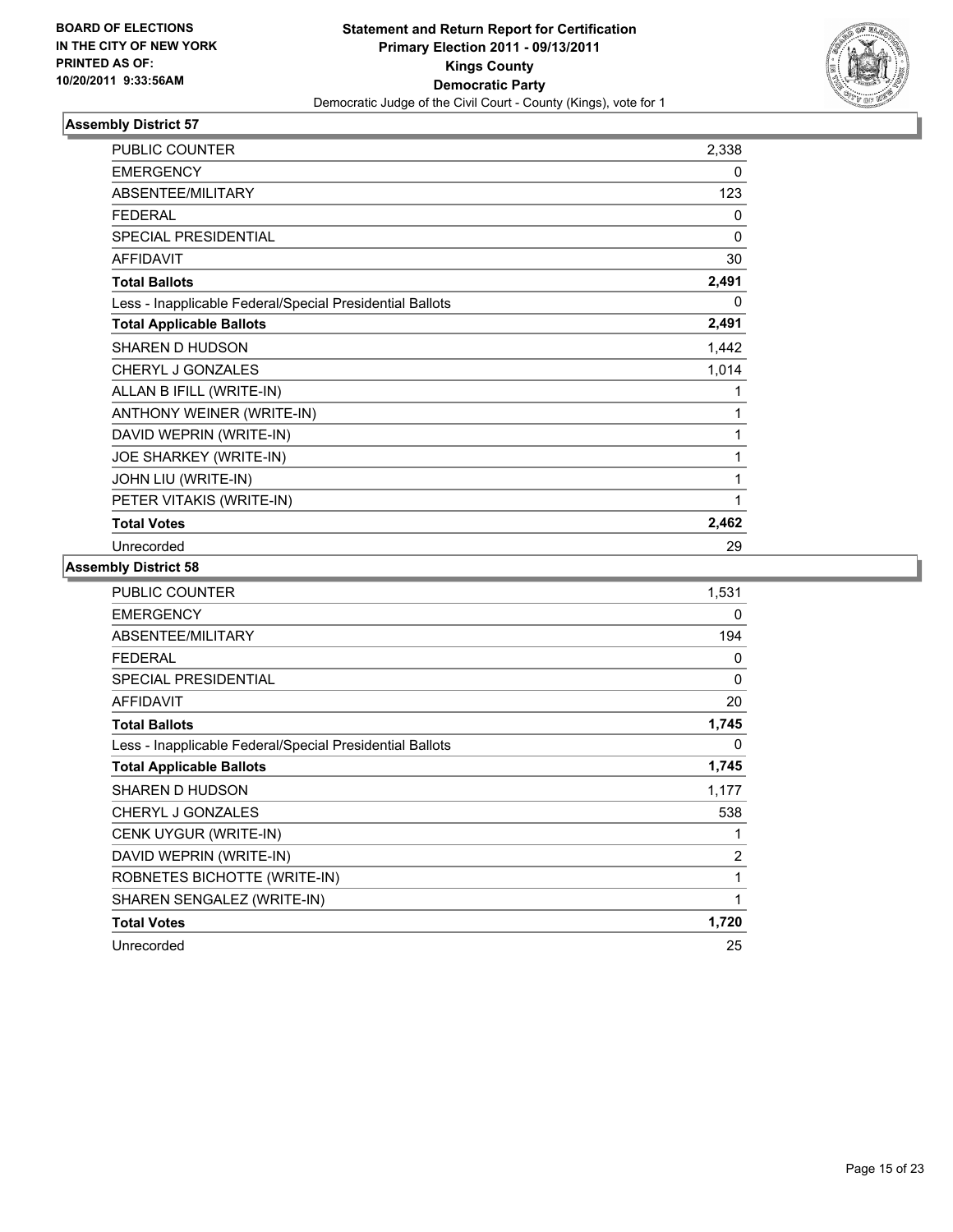

| <b>PUBLIC COUNTER</b>                                    | 2,338        |
|----------------------------------------------------------|--------------|
| <b>EMERGENCY</b>                                         | $\mathbf{0}$ |
| ABSENTEE/MILITARY                                        | 123          |
| <b>FEDERAL</b>                                           | 0            |
| <b>SPECIAL PRESIDENTIAL</b>                              | 0            |
| <b>AFFIDAVIT</b>                                         | 30           |
| <b>Total Ballots</b>                                     | 2,491        |
| Less - Inapplicable Federal/Special Presidential Ballots | 0            |
| <b>Total Applicable Ballots</b>                          | 2,491        |
| SHAREN D HUDSON                                          | 1,442        |
| CHERYL J GONZALES                                        | 1,014        |
| ALLAN B IFILL (WRITE-IN)                                 | 1            |
| ANTHONY WEINER (WRITE-IN)                                | 1            |
| DAVID WEPRIN (WRITE-IN)                                  | 1            |
| JOE SHARKEY (WRITE-IN)                                   | 1            |
| JOHN LIU (WRITE-IN)                                      | 1            |
| PETER VITAKIS (WRITE-IN)                                 | 1            |
| <b>Total Votes</b>                                       | 2,462        |
| Unrecorded                                               | 29           |

| <b>PUBLIC COUNTER</b>                                    | 1,531    |
|----------------------------------------------------------|----------|
| <b>EMERGENCY</b>                                         | 0        |
| ABSENTEE/MILITARY                                        | 194      |
| <b>FEDERAL</b>                                           | 0        |
| <b>SPECIAL PRESIDENTIAL</b>                              | $\Omega$ |
| <b>AFFIDAVIT</b>                                         | 20       |
| <b>Total Ballots</b>                                     | 1,745    |
| Less - Inapplicable Federal/Special Presidential Ballots | 0        |
| <b>Total Applicable Ballots</b>                          | 1,745    |
| SHAREN D HUDSON                                          | 1,177    |
| CHERYL J GONZALES                                        | 538      |
| CENK UYGUR (WRITE-IN)                                    | 1        |
| DAVID WEPRIN (WRITE-IN)                                  | 2        |
| ROBNETES BICHOTTE (WRITE-IN)                             | 1        |
| SHAREN SENGALEZ (WRITE-IN)                               | 1        |
| <b>Total Votes</b>                                       | 1,720    |
| Unrecorded                                               | 25       |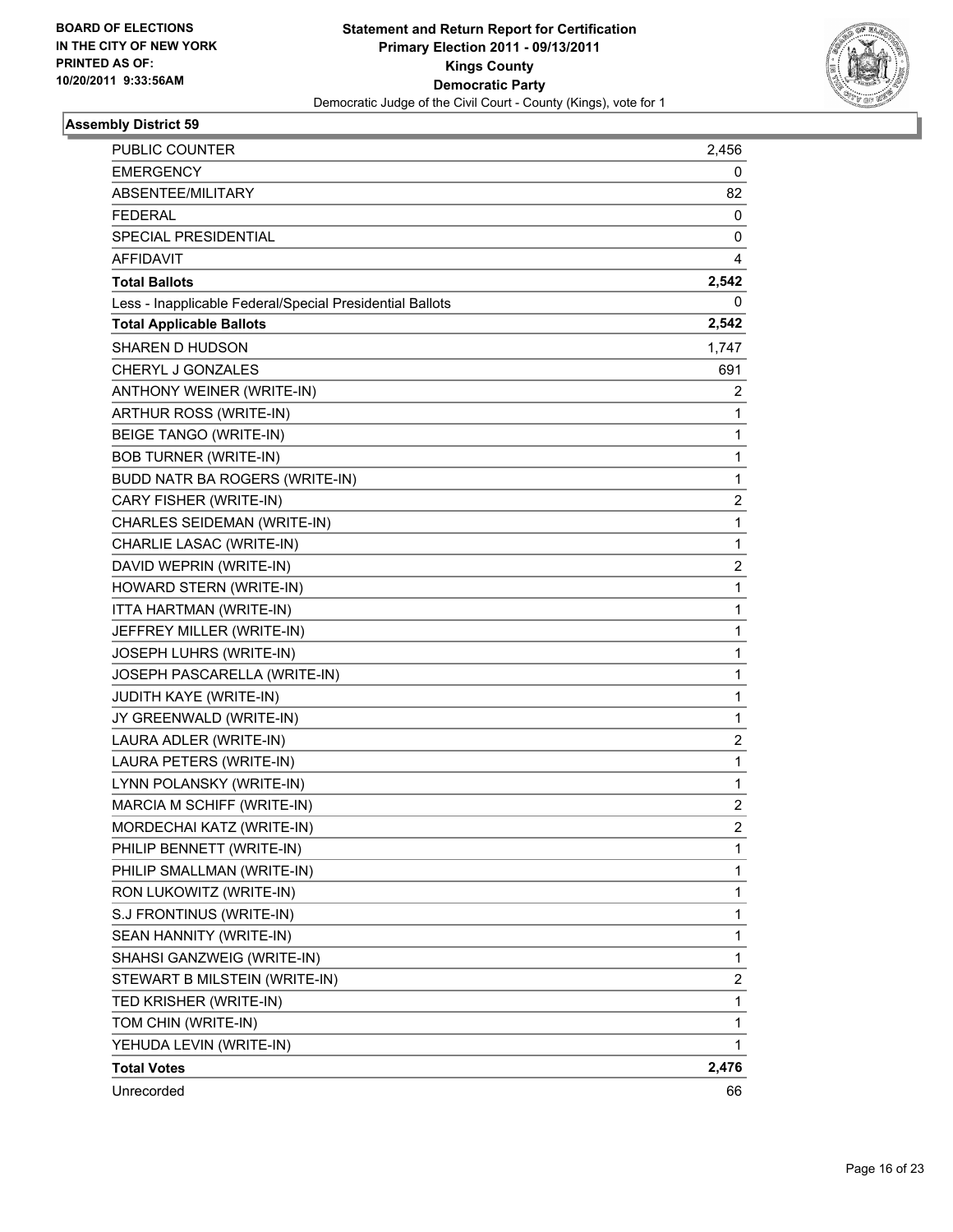

| PUBLIC COUNTER                                           | 2,456          |
|----------------------------------------------------------|----------------|
| <b>EMERGENCY</b>                                         | 0              |
| ABSENTEE/MILITARY                                        | 82             |
| <b>FEDERAL</b>                                           | 0              |
| SPECIAL PRESIDENTIAL                                     | 0              |
| AFFIDAVIT                                                | 4              |
| <b>Total Ballots</b>                                     | 2,542          |
| Less - Inapplicable Federal/Special Presidential Ballots | 0              |
| <b>Total Applicable Ballots</b>                          | 2,542          |
| SHAREN D HUDSON                                          | 1,747          |
| CHERYL J GONZALES                                        | 691            |
| ANTHONY WEINER (WRITE-IN)                                | 2              |
| ARTHUR ROSS (WRITE-IN)                                   | 1              |
| BEIGE TANGO (WRITE-IN)                                   | 1              |
| <b>BOB TURNER (WRITE-IN)</b>                             | 1              |
| BUDD NATR BA ROGERS (WRITE-IN)                           | 1              |
| CARY FISHER (WRITE-IN)                                   | 2              |
| CHARLES SEIDEMAN (WRITE-IN)                              | 1              |
| CHARLIE LASAC (WRITE-IN)                                 | 1              |
| DAVID WEPRIN (WRITE-IN)                                  | 2              |
| HOWARD STERN (WRITE-IN)                                  | 1              |
| ITTA HARTMAN (WRITE-IN)                                  | 1              |
| JEFFREY MILLER (WRITE-IN)                                | 1              |
| JOSEPH LUHRS (WRITE-IN)                                  | 1              |
| JOSEPH PASCARELLA (WRITE-IN)                             | 1              |
| JUDITH KAYE (WRITE-IN)                                   | $\mathbf 1$    |
| JY GREENWALD (WRITE-IN)                                  | 1              |
| LAURA ADLER (WRITE-IN)                                   | 2              |
| LAURA PETERS (WRITE-IN)                                  | 1              |
| LYNN POLANSKY (WRITE-IN)                                 | 1              |
| MARCIA M SCHIFF (WRITE-IN)                               | 2              |
| MORDECHAI KATZ (WRITE-IN)                                | $\overline{2}$ |
| PHILIP BENNETT (WRITE-IN)                                | 1              |
| PHILIP SMALLMAN (WRITE-IN)                               | 1              |
| RON LUKOWITZ (WRITE-IN)                                  | 1              |
| S.J FRONTINUS (WRITE-IN)                                 | 1              |
| SEAN HANNITY (WRITE-IN)                                  | 1              |
| SHAHSI GANZWEIG (WRITE-IN)                               | 1              |
| STEWART B MILSTEIN (WRITE-IN)                            | 2              |
| TED KRISHER (WRITE-IN)                                   | 1              |
| TOM CHIN (WRITE-IN)                                      | 1              |
| YEHUDA LEVIN (WRITE-IN)                                  | 1              |
| <b>Total Votes</b>                                       | 2,476          |
| Unrecorded                                               | 66             |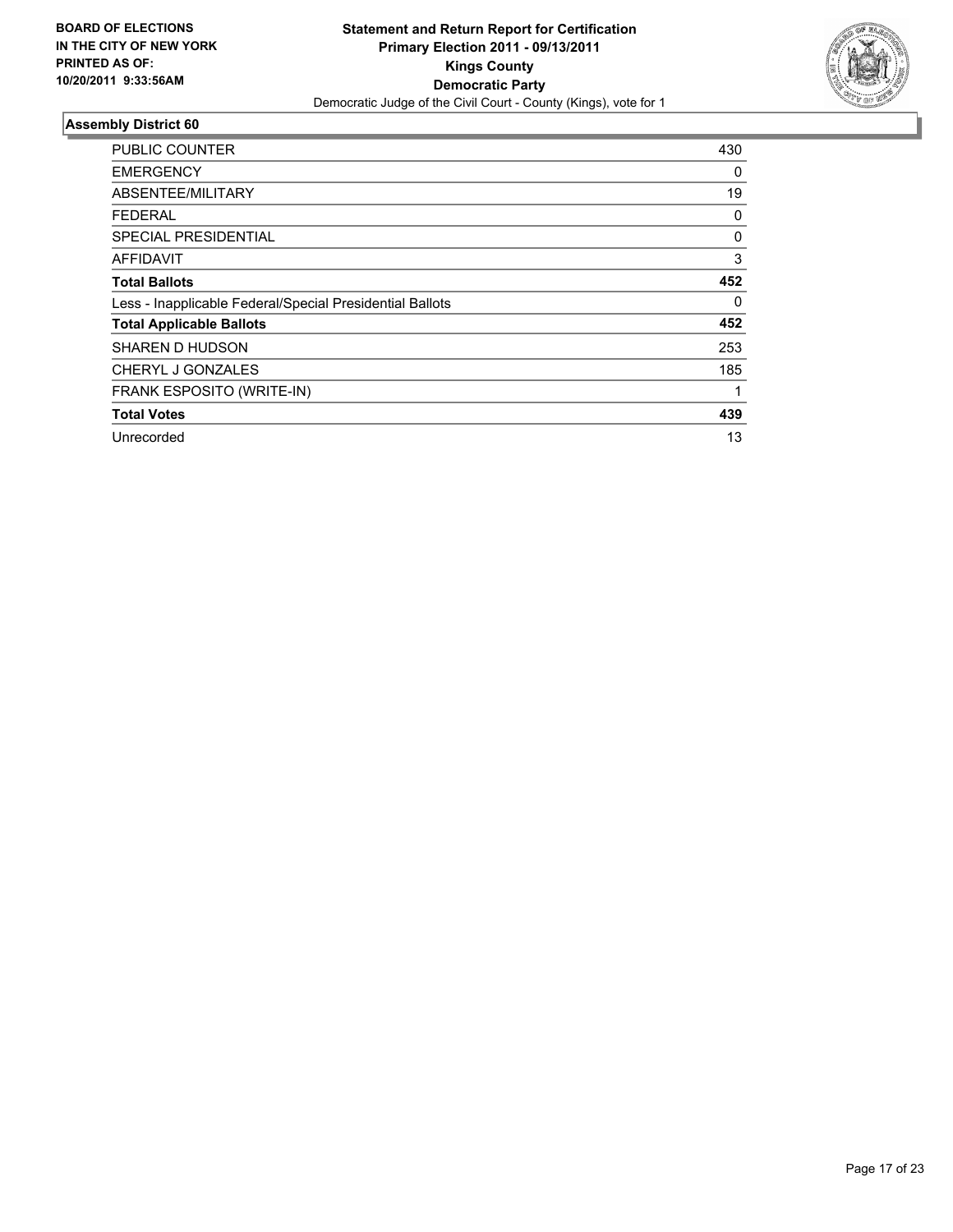

| PUBLIC COUNTER                                           | 430 |
|----------------------------------------------------------|-----|
| <b>EMERGENCY</b>                                         | 0   |
| ABSENTEE/MILITARY                                        | 19  |
| FEDERAL                                                  | 0   |
| SPECIAL PRESIDENTIAL                                     | 0   |
| <b>AFFIDAVIT</b>                                         | 3   |
| <b>Total Ballots</b>                                     | 452 |
| Less - Inapplicable Federal/Special Presidential Ballots | 0   |
| <b>Total Applicable Ballots</b>                          | 452 |
| SHAREN D HUDSON                                          | 253 |
| CHERYL J GONZALES                                        | 185 |
| FRANK ESPOSITO (WRITE-IN)                                |     |
| <b>Total Votes</b>                                       | 439 |
| Unrecorded                                               | 13  |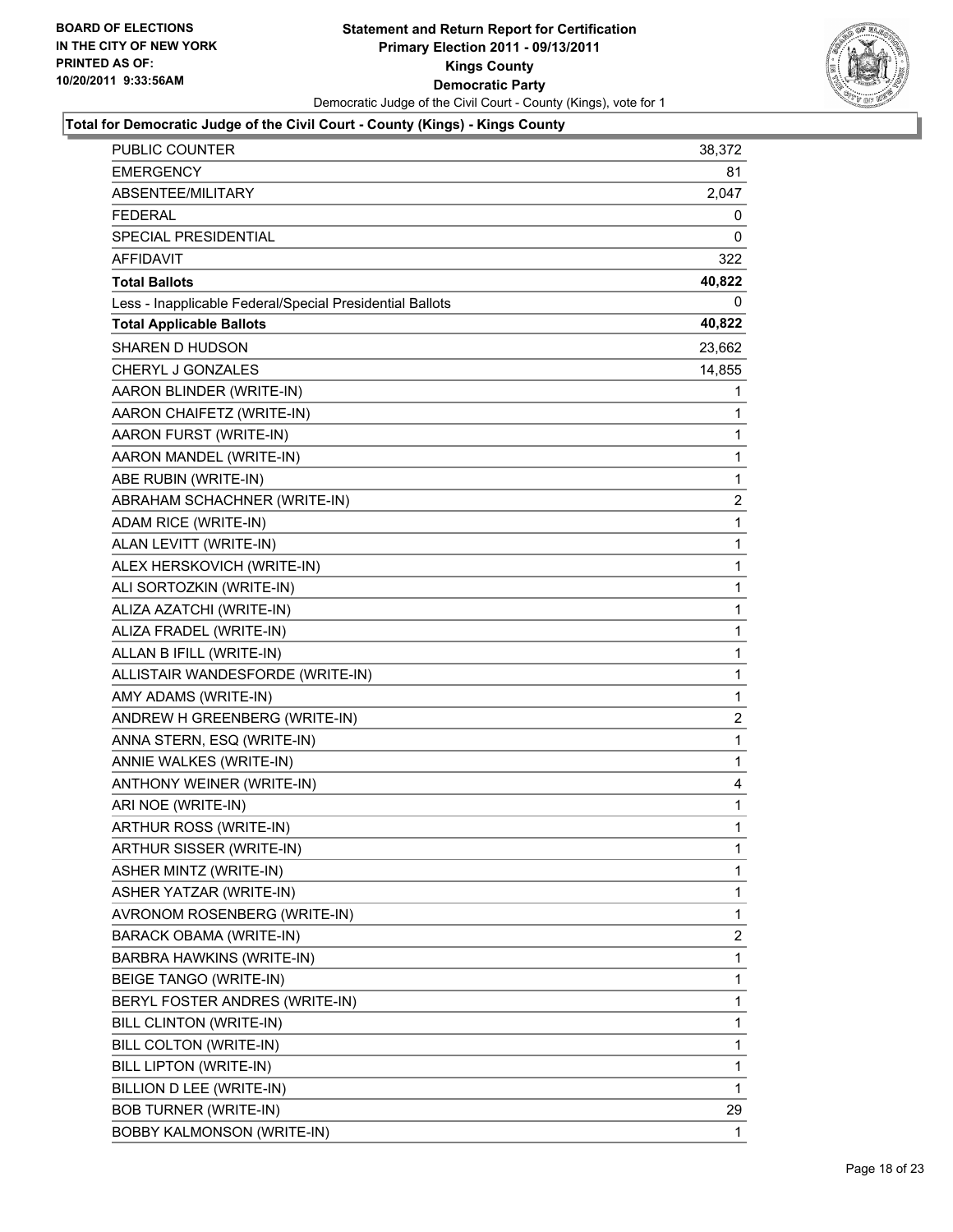

| PUBLIC COUNTER                                           | 38,372         |
|----------------------------------------------------------|----------------|
| <b>EMERGENCY</b>                                         | 81             |
| ABSENTEE/MILITARY                                        | 2,047          |
| <b>FEDERAL</b>                                           | 0              |
| SPECIAL PRESIDENTIAL                                     | 0              |
| AFFIDAVIT                                                | 322            |
| <b>Total Ballots</b>                                     | 40,822         |
| Less - Inapplicable Federal/Special Presidential Ballots | 0              |
| <b>Total Applicable Ballots</b>                          | 40,822         |
| SHAREN D HUDSON                                          | 23,662         |
| CHERYL J GONZALES                                        | 14,855         |
| AARON BLINDER (WRITE-IN)                                 | 1              |
| AARON CHAIFETZ (WRITE-IN)                                | 1              |
| AARON FURST (WRITE-IN)                                   | 1              |
| AARON MANDEL (WRITE-IN)                                  | $\mathbf{1}$   |
| ABE RUBIN (WRITE-IN)                                     | 1              |
| ABRAHAM SCHACHNER (WRITE-IN)                             | 2              |
| ADAM RICE (WRITE-IN)                                     | $\mathbf{1}$   |
| ALAN LEVITT (WRITE-IN)                                   | 1              |
| ALEX HERSKOVICH (WRITE-IN)                               | 1              |
| ALI SORTOZKIN (WRITE-IN)                                 | 1              |
| ALIZA AZATCHI (WRITE-IN)                                 | 1              |
| ALIZA FRADEL (WRITE-IN)                                  | 1              |
| ALLAN B IFILL (WRITE-IN)                                 | 1              |
| ALLISTAIR WANDESFORDE (WRITE-IN)                         | 1              |
| AMY ADAMS (WRITE-IN)                                     | 1              |
| ANDREW H GREENBERG (WRITE-IN)                            | $\overline{c}$ |
| ANNA STERN, ESQ (WRITE-IN)                               | 1              |
| ANNIE WALKES (WRITE-IN)                                  | 1              |
| ANTHONY WEINER (WRITE-IN)                                | 4              |
| ARI NOE (WRITE-IN)                                       | 1              |
| ARTHUR ROSS (WRITE-IN)                                   | 1              |
| ARTHUR SISSER (WRITE-IN)                                 | 1              |
| ASHER MINTZ (WRITE-IN)                                   | 1              |
| ASHER YATZAR (WRITE-IN)                                  | 1              |
| AVRONOM ROSENBERG (WRITE-IN)                             | 1              |
| BARACK OBAMA (WRITE-IN)                                  | 2              |
| BARBRA HAWKINS (WRITE-IN)                                | 1              |
| BEIGE TANGO (WRITE-IN)                                   | 1              |
| BERYL FOSTER ANDRES (WRITE-IN)                           | 1              |
| BILL CLINTON (WRITE-IN)                                  | 1              |
| BILL COLTON (WRITE-IN)                                   | 1              |
| BILL LIPTON (WRITE-IN)                                   | 1              |
| BILLION D LEE (WRITE-IN)                                 | 1              |
| <b>BOB TURNER (WRITE-IN)</b>                             | 29             |
| BOBBY KALMONSON (WRITE-IN)                               | 1              |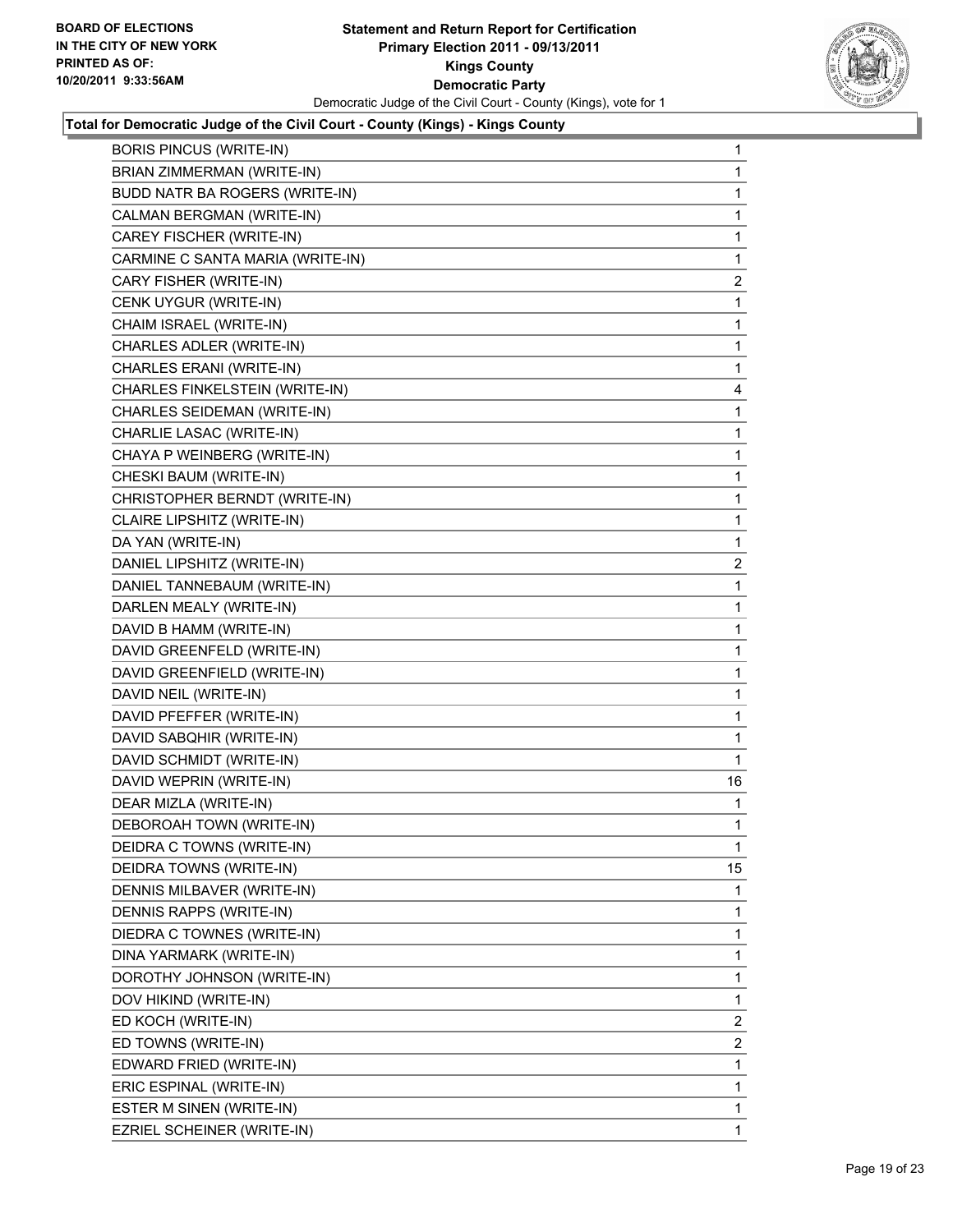

| <b>BORIS PINCUS (WRITE-IN)</b>   | 1              |
|----------------------------------|----------------|
| BRIAN ZIMMERMAN (WRITE-IN)       | 1              |
| BUDD NATR BA ROGERS (WRITE-IN)   | 1              |
| CALMAN BERGMAN (WRITE-IN)        | 1              |
| CAREY FISCHER (WRITE-IN)         | 1              |
| CARMINE C SANTA MARIA (WRITE-IN) | 1              |
| CARY FISHER (WRITE-IN)           | $\overline{2}$ |
| CENK UYGUR (WRITE-IN)            | 1              |
| CHAIM ISRAEL (WRITE-IN)          | 1              |
| CHARLES ADLER (WRITE-IN)         | 1              |
| CHARLES ERANI (WRITE-IN)         | 1              |
| CHARLES FINKELSTEIN (WRITE-IN)   | 4              |
| CHARLES SEIDEMAN (WRITE-IN)      | 1              |
| CHARLIE LASAC (WRITE-IN)         | 1              |
| CHAYA P WEINBERG (WRITE-IN)      | 1              |
| CHESKI BAUM (WRITE-IN)           | 1              |
| CHRISTOPHER BERNDT (WRITE-IN)    | 1              |
| CLAIRE LIPSHITZ (WRITE-IN)       | 1              |
| DA YAN (WRITE-IN)                | 1              |
| DANIEL LIPSHITZ (WRITE-IN)       | $\overline{c}$ |
| DANIEL TANNEBAUM (WRITE-IN)      | 1              |
| DARLEN MEALY (WRITE-IN)          | 1              |
| DAVID B HAMM (WRITE-IN)          | 1              |
| DAVID GREENFELD (WRITE-IN)       | 1              |
| DAVID GREENFIELD (WRITE-IN)      | 1              |
| DAVID NEIL (WRITE-IN)            | 1              |
| DAVID PFEFFER (WRITE-IN)         | 1              |
| DAVID SABQHIR (WRITE-IN)         | 1              |
| DAVID SCHMIDT (WRITE-IN)         | 1              |
| DAVID WEPRIN (WRITE-IN)          | 16             |
| DEAR MIZLA (WRITE-IN)            | 1              |
| DEBOROAH TOWN (WRITE-IN)         | 1              |
| DEIDRA C TOWNS (WRITE-IN)        | 1              |
| DEIDRA TOWNS (WRITE-IN)          | 15             |
| DENNIS MILBAVER (WRITE-IN)       | 1              |
| DENNIS RAPPS (WRITE-IN)          | 1              |
| DIEDRA C TOWNES (WRITE-IN)       | 1              |
| DINA YARMARK (WRITE-IN)          | 1              |
| DOROTHY JOHNSON (WRITE-IN)       | 1              |
| DOV HIKIND (WRITE-IN)            | 1              |
| ED KOCH (WRITE-IN)               | $\overline{2}$ |
| ED TOWNS (WRITE-IN)              | $\overline{2}$ |
| EDWARD FRIED (WRITE-IN)          | 1              |
| ERIC ESPINAL (WRITE-IN)          | 1              |
| ESTER M SINEN (WRITE-IN)         | 1              |
| EZRIEL SCHEINER (WRITE-IN)       | 1              |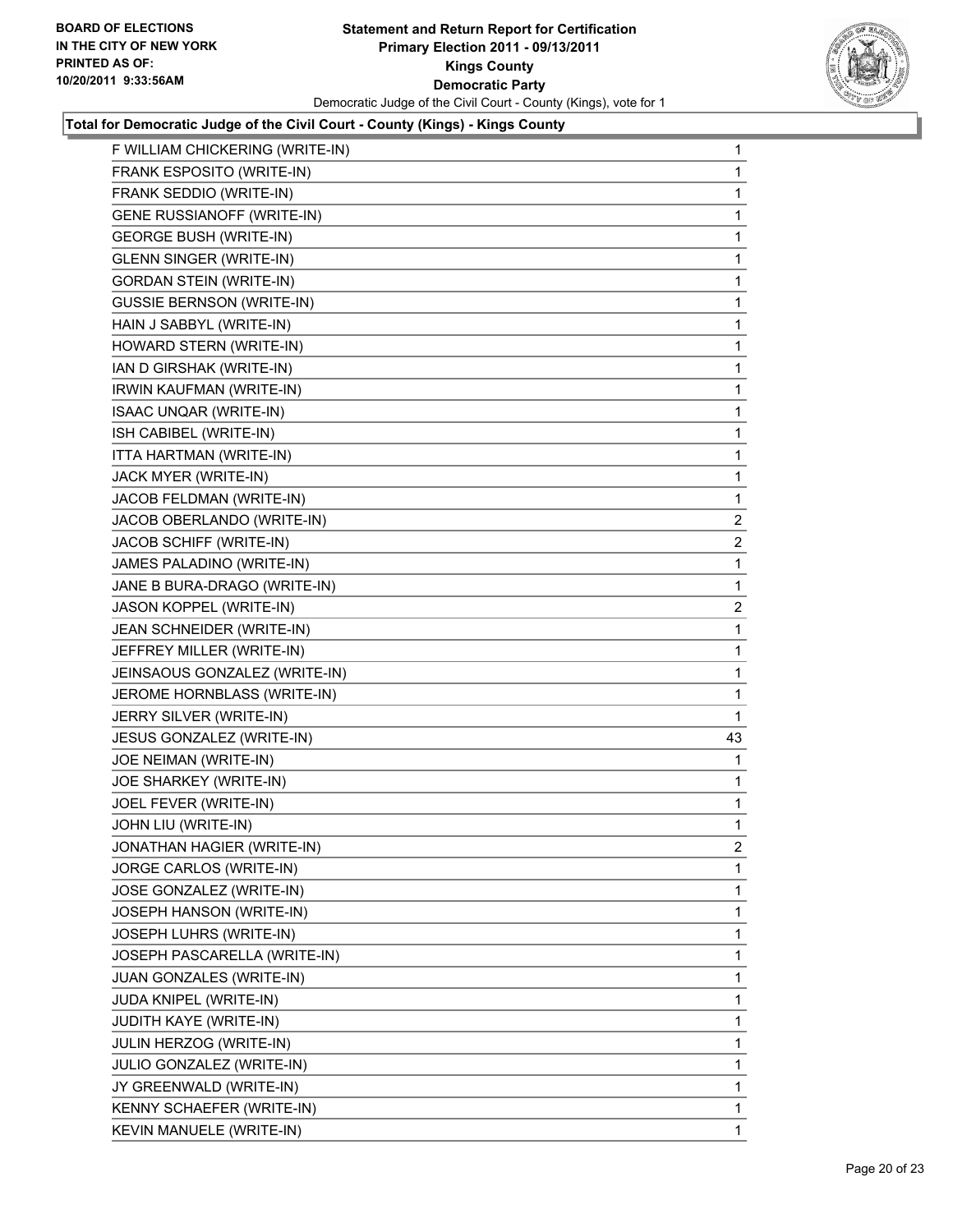

| F WILLIAM CHICKERING (WRITE-IN)   | 1            |
|-----------------------------------|--------------|
| FRANK ESPOSITO (WRITE-IN)         | 1            |
| FRANK SEDDIO (WRITE-IN)           | 1            |
| <b>GENE RUSSIANOFF (WRITE-IN)</b> | 1            |
| <b>GEORGE BUSH (WRITE-IN)</b>     | 1            |
| <b>GLENN SINGER (WRITE-IN)</b>    | 1            |
| <b>GORDAN STEIN (WRITE-IN)</b>    | 1            |
| <b>GUSSIE BERNSON (WRITE-IN)</b>  | 1            |
| HAIN J SABBYL (WRITE-IN)          | 1            |
| HOWARD STERN (WRITE-IN)           | 1            |
| IAN D GIRSHAK (WRITE-IN)          | 1            |
| IRWIN KAUFMAN (WRITE-IN)          | 1            |
| <b>ISAAC UNQAR (WRITE-IN)</b>     | 1            |
| ISH CABIBEL (WRITE-IN)            | 1            |
| ITTA HARTMAN (WRITE-IN)           | 1            |
| JACK MYER (WRITE-IN)              | 1            |
| JACOB FELDMAN (WRITE-IN)          | 1            |
| JACOB OBERLANDO (WRITE-IN)        | 2            |
| JACOB SCHIFF (WRITE-IN)           | $\mathbf{2}$ |
| JAMES PALADINO (WRITE-IN)         | 1            |
| JANE B BURA-DRAGO (WRITE-IN)      | 1            |
| JASON KOPPEL (WRITE-IN)           | $\mathbf{2}$ |
| JEAN SCHNEIDER (WRITE-IN)         | 1            |
| JEFFREY MILLER (WRITE-IN)         | 1            |
| JEINSAOUS GONZALEZ (WRITE-IN)     | 1            |
| JEROME HORNBLASS (WRITE-IN)       | 1            |
| JERRY SILVER (WRITE-IN)           | 1            |
| JESUS GONZALEZ (WRITE-IN)         | 43           |
| JOE NEIMAN (WRITE-IN)             | 1            |
| JOE SHARKEY (WRITE-IN)            | 1            |
| JOEL FEVER (WRITE-IN)             | 1            |
| JOHN LIU (WRITE-IN)               | 1            |
| JONATHAN HAGIER (WRITE-IN)        | 2            |
| JORGE CARLOS (WRITE-IN)           | 1            |
| JOSE GONZALEZ (WRITE-IN)          | 1            |
| JOSEPH HANSON (WRITE-IN)          | 1            |
| JOSEPH LUHRS (WRITE-IN)           | 1            |
| JOSEPH PASCARELLA (WRITE-IN)      | 1            |
| JUAN GONZALES (WRITE-IN)          | 1            |
| JUDA KNIPEL (WRITE-IN)            | 1            |
| JUDITH KAYE (WRITE-IN)            | 1            |
| JULIN HERZOG (WRITE-IN)           | 1            |
| JULIO GONZALEZ (WRITE-IN)         | 1            |
| JY GREENWALD (WRITE-IN)           | 1            |
| KENNY SCHAEFER (WRITE-IN)         | 1            |
| KEVIN MANUELE (WRITE-IN)          | 1            |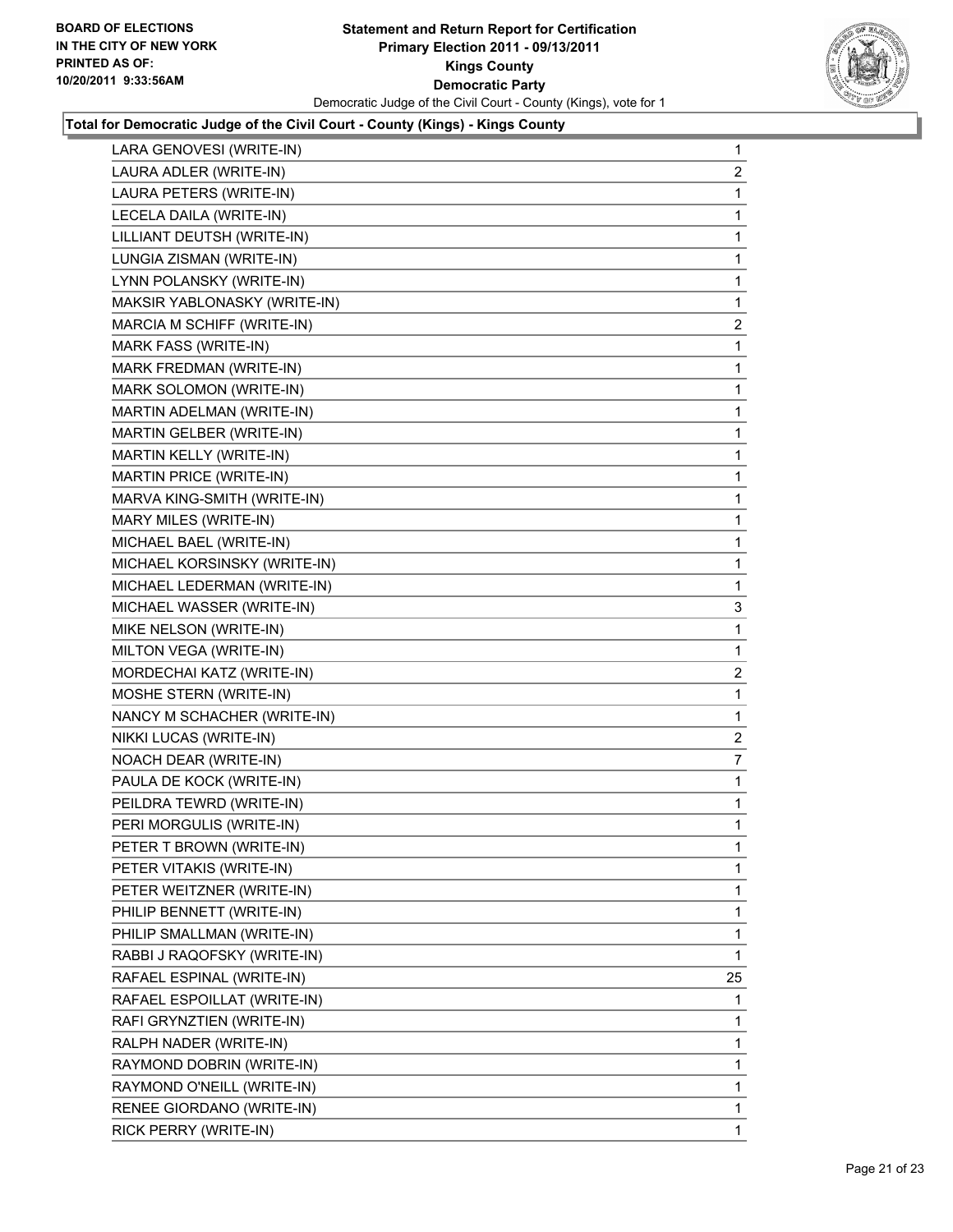

| LARA GENOVESI (WRITE-IN)     | $\mathbf 1$    |
|------------------------------|----------------|
| LAURA ADLER (WRITE-IN)       | $\overline{c}$ |
| LAURA PETERS (WRITE-IN)      | 1              |
| LECELA DAILA (WRITE-IN)      | 1              |
| LILLIANT DEUTSH (WRITE-IN)   | 1              |
| LUNGIA ZISMAN (WRITE-IN)     | 1              |
| LYNN POLANSKY (WRITE-IN)     | 1              |
| MAKSIR YABLONASKY (WRITE-IN) | $\mathbf 1$    |
| MARCIA M SCHIFF (WRITE-IN)   | $\mathbf{2}$   |
| <b>MARK FASS (WRITE-IN)</b>  | 1              |
| MARK FREDMAN (WRITE-IN)      | 1              |
| MARK SOLOMON (WRITE-IN)      | 1              |
| MARTIN ADELMAN (WRITE-IN)    | 1              |
| MARTIN GELBER (WRITE-IN)     | 1              |
| MARTIN KELLY (WRITE-IN)      | 1              |
| MARTIN PRICE (WRITE-IN)      | 1              |
| MARVA KING-SMITH (WRITE-IN)  | 1              |
| MARY MILES (WRITE-IN)        | 1              |
| MICHAEL BAEL (WRITE-IN)      | 1              |
| MICHAEL KORSINSKY (WRITE-IN) | $\mathbf 1$    |
| MICHAEL LEDERMAN (WRITE-IN)  | 1              |
| MICHAEL WASSER (WRITE-IN)    | 3              |
| MIKE NELSON (WRITE-IN)       | 1              |
| MILTON VEGA (WRITE-IN)       | 1              |
| MORDECHAI KATZ (WRITE-IN)    | $\mathbf{2}$   |
| MOSHE STERN (WRITE-IN)       | $\mathbf 1$    |
| NANCY M SCHACHER (WRITE-IN)  | 1              |
| NIKKI LUCAS (WRITE-IN)       | 2              |
| NOACH DEAR (WRITE-IN)        | $\overline{7}$ |
| PAULA DE KOCK (WRITE-IN)     | 1              |
| PEILDRA TEWRD (WRITE-IN)     | 1              |
| PERI MORGULIS (WRITE-IN)     | 1              |
| PETER T BROWN (WRITE-IN)     | 1              |
| PETER VITAKIS (WRITE-IN)     | 1              |
| PETER WEITZNER (WRITE-IN)    | 1              |
| PHILIP BENNETT (WRITE-IN)    | 1              |
| PHILIP SMALLMAN (WRITE-IN)   | 1              |
| RABBI J RAQOFSKY (WRITE-IN)  | 1              |
| RAFAEL ESPINAL (WRITE-IN)    | 25             |
| RAFAEL ESPOILLAT (WRITE-IN)  | 1              |
| RAFI GRYNZTIEN (WRITE-IN)    | 1              |
| RALPH NADER (WRITE-IN)       | 1              |
| RAYMOND DOBRIN (WRITE-IN)    | 1              |
| RAYMOND O'NEILL (WRITE-IN)   | 1              |
| RENEE GIORDANO (WRITE-IN)    | 1              |
| RICK PERRY (WRITE-IN)        | 1              |
|                              |                |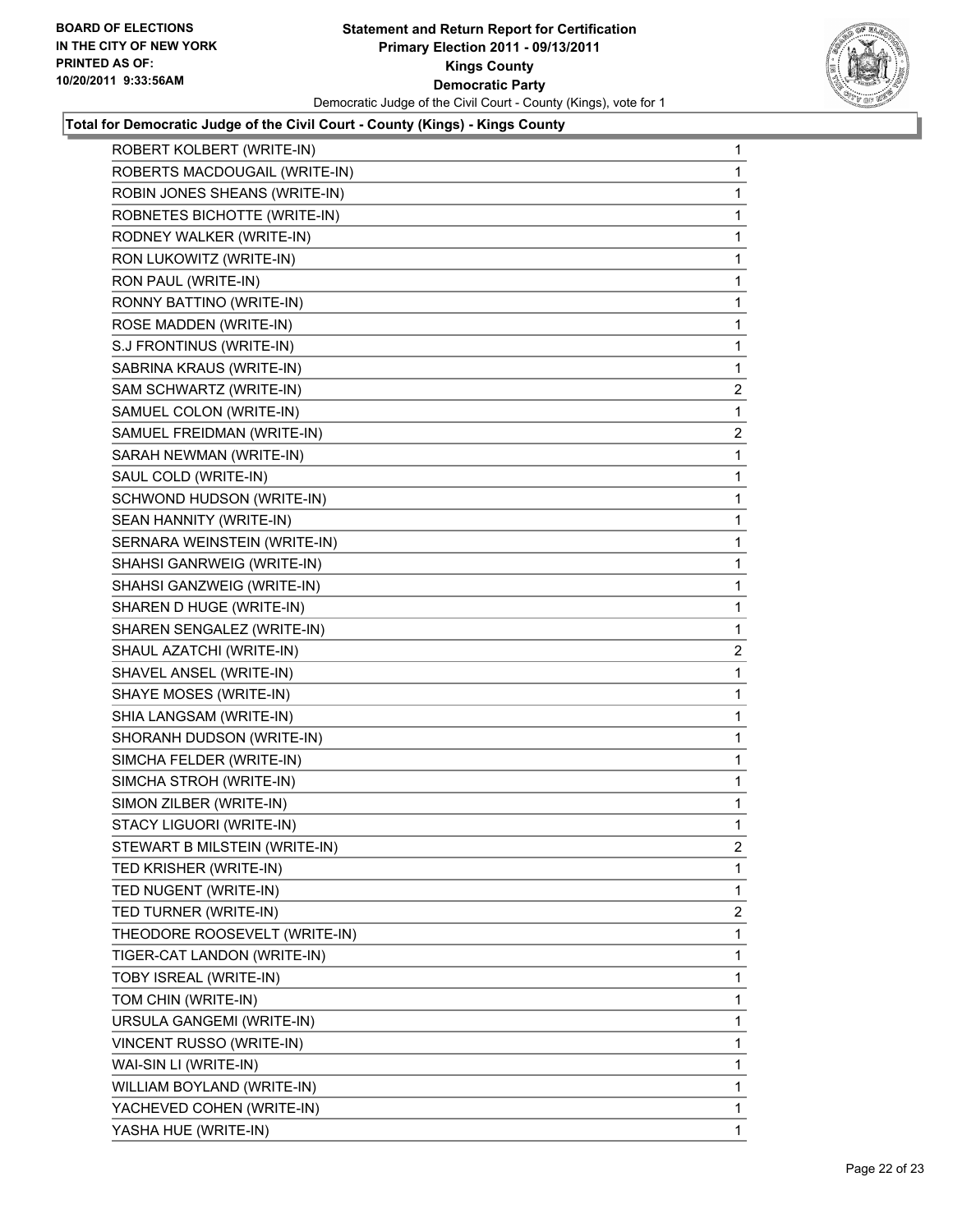

| ROBERT KOLBERT (WRITE-IN)     | 1              |
|-------------------------------|----------------|
| ROBERTS MACDOUGAIL (WRITE-IN) | 1              |
| ROBIN JONES SHEANS (WRITE-IN) | 1              |
| ROBNETES BICHOTTE (WRITE-IN)  | 1              |
| RODNEY WALKER (WRITE-IN)      | 1              |
| RON LUKOWITZ (WRITE-IN)       | 1              |
| RON PAUL (WRITE-IN)           | 1              |
| RONNY BATTINO (WRITE-IN)      | 1              |
| ROSE MADDEN (WRITE-IN)        | 1              |
| S.J FRONTINUS (WRITE-IN)      | 1              |
| SABRINA KRAUS (WRITE-IN)      | 1              |
| SAM SCHWARTZ (WRITE-IN)       | 2              |
| SAMUEL COLON (WRITE-IN)       | 1              |
| SAMUEL FREIDMAN (WRITE-IN)    | 2              |
| SARAH NEWMAN (WRITE-IN)       | 1              |
| SAUL COLD (WRITE-IN)          | 1              |
| SCHWOND HUDSON (WRITE-IN)     | 1              |
| SEAN HANNITY (WRITE-IN)       | 1              |
| SERNARA WEINSTEIN (WRITE-IN)  | 1              |
| SHAHSI GANRWEIG (WRITE-IN)    | 1              |
| SHAHSI GANZWEIG (WRITE-IN)    | 1              |
| SHAREN D HUGE (WRITE-IN)      | 1              |
| SHAREN SENGALEZ (WRITE-IN)    | 1              |
| SHAUL AZATCHI (WRITE-IN)      | 2              |
| SHAVEL ANSEL (WRITE-IN)       | 1              |
| SHAYE MOSES (WRITE-IN)        | 1              |
| SHIA LANGSAM (WRITE-IN)       | 1              |
| SHORANH DUDSON (WRITE-IN)     | 1              |
| SIMCHA FELDER (WRITE-IN)      | 1              |
| SIMCHA STROH (WRITE-IN)       | 1              |
| SIMON ZILBER (WRITE-IN)       | 1              |
| STACY LIGUORI (WRITE-IN)      | 1              |
| STEWART B MILSTEIN (WRITE-IN) | 2              |
| TED KRISHER (WRITE-IN)        | 1              |
| TED NUGENT (WRITE-IN)         | 1              |
| TED TURNER (WRITE-IN)         | $\overline{2}$ |
| THEODORE ROOSEVELT (WRITE-IN) | 1              |
| TIGER-CAT LANDON (WRITE-IN)   | 1              |
| TOBY ISREAL (WRITE-IN)        | 1              |
| TOM CHIN (WRITE-IN)           | 1              |
| URSULA GANGEMI (WRITE-IN)     | 1              |
| VINCENT RUSSO (WRITE-IN)      | 1              |
| WAI-SIN LI (WRITE-IN)         | 1              |
| WILLIAM BOYLAND (WRITE-IN)    | 1              |
| YACHEVED COHEN (WRITE-IN)     | 1              |
| YASHA HUE (WRITE-IN)          | 1              |
|                               |                |